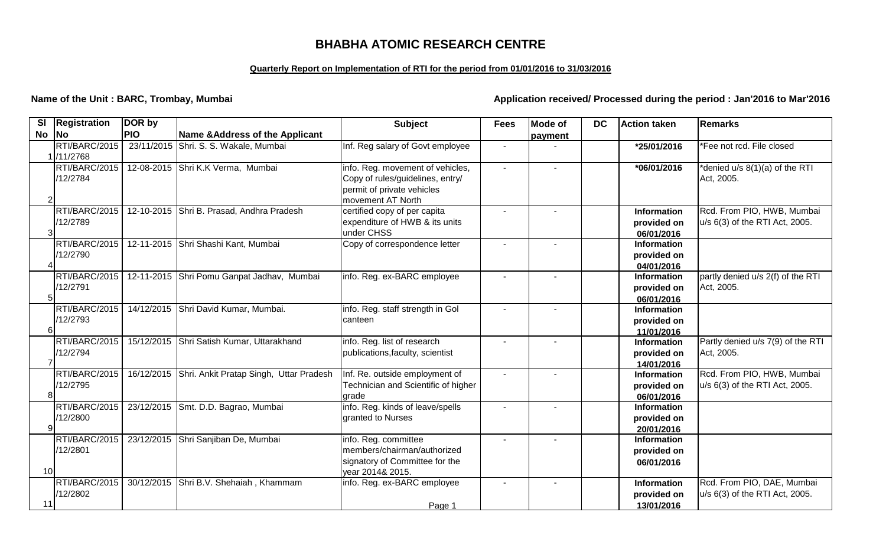# **BHABHA ATOMIC RESEARCH CENTRE**

## **Quarterly Report on Implementation of RTI for the period from 01/01/2016 to 31/03/2016**

**Name of the Unit : BARC, Trombay, Mumbai Application received/ Processed during the period : Jan'2016 to Mar'2016** 

| SI        | <b>Registration</b>       | DOR by     |                                                    | <b>Subject</b>                                                 | <b>Fees</b>              | <b>Mode of</b> | <b>DC</b> | <b>Action taken</b>       | Remarks                           |
|-----------|---------------------------|------------|----------------------------------------------------|----------------------------------------------------------------|--------------------------|----------------|-----------|---------------------------|-----------------------------------|
| <b>No</b> | <b>No</b>                 | <b>PIO</b> | Name & Address of the Applicant                    |                                                                |                          | payment        |           |                           |                                   |
|           | RTI/BARC/2015             |            | 23/11/2015 Shri. S. S. Wakale, Mumbai              | Inf. Reg salary of Govt employee                               | $\overline{\phantom{a}}$ |                |           | *25/01/2016               | Fee not rcd. File closed          |
|           | 1 / 1/2768                |            |                                                    |                                                                |                          |                |           |                           |                                   |
|           | RTI/BARC/2015             |            | 12-08-2015 Shri K.K Verma, Mumbai                  | info. Reg. movement of vehicles,                               | $\blacksquare$           |                |           | *06/01/2016               | denied u/s 8(1)(a) of the RTI     |
|           | /12/2784                  |            |                                                    | Copy of rules/guidelines, entry/<br>permit of private vehicles |                          |                |           |                           | Act, 2005.                        |
|           |                           |            |                                                    | movement AT North                                              |                          |                |           |                           |                                   |
|           | RTI/BARC/2015             |            | 12-10-2015 Shri B. Prasad, Andhra Pradesh          | certified copy of per capita                                   |                          |                |           | <b>Information</b>        | Rcd. From PIO, HWB, Mumbai        |
|           | /12/2789                  |            |                                                    | expenditure of HWB & its units                                 |                          |                |           | provided on               | u/s 6(3) of the RTI Act, 2005.    |
|           |                           |            |                                                    | under CHSS                                                     |                          |                |           | 06/01/2016                |                                   |
|           | RTI/BARC/2015             |            | 12-11-2015 Shri Shashi Kant, Mumbai                | Copy of correspondence letter                                  |                          |                |           | <b>Information</b>        |                                   |
|           | /12/2790                  |            |                                                    |                                                                |                          |                |           | provided on               |                                   |
|           |                           |            |                                                    |                                                                |                          |                |           | 04/01/2016                |                                   |
|           | RTI/BARC/2015             |            | 12-11-2015 Shri Pomu Ganpat Jadhav, Mumbai         | info. Reg. ex-BARC employee                                    |                          |                |           | Information               | partly denied u/s 2(f) of the RTI |
|           | /12/2791                  |            |                                                    |                                                                |                          |                |           | provided on               | Act, 2005.                        |
|           |                           |            |                                                    |                                                                |                          |                |           | 06/01/2016                |                                   |
|           | RTI/BARC/2015<br>/12/2793 |            | 14/12/2015 Shri David Kumar, Mumbai.               | info. Reg. staff strength in Gol                               | $\overline{\phantom{a}}$ |                |           | <b>Information</b>        |                                   |
|           |                           |            |                                                    | canteen                                                        |                          |                |           | provided on<br>11/01/2016 |                                   |
|           | RTI/BARC/2015             |            | 15/12/2015 Shri Satish Kumar, Uttarakhand          | info. Reg. list of research                                    |                          |                |           | <b>Information</b>        | Partly denied u/s 7(9) of the RTI |
|           | /12/2794                  |            |                                                    | publications, faculty, scientist                               |                          |                |           | provided on               | Act, 2005.                        |
|           |                           |            |                                                    |                                                                |                          |                |           | 14/01/2016                |                                   |
|           | RTI/BARC/2015             |            | 16/12/2015 Shri. Ankit Pratap Singh, Uttar Pradesh | Inf. Re. outside employment of                                 |                          |                |           | <b>Information</b>        | Rcd. From PIO, HWB, Mumbai        |
|           | /12/2795                  |            |                                                    | Technician and Scientific of higher                            |                          |                |           | provided on               | u/s 6(3) of the RTI Act, 2005.    |
|           |                           |            |                                                    | arade                                                          |                          |                |           | 06/01/2016                |                                   |
|           | RTI/BARC/2015             |            | 23/12/2015 Smt. D.D. Bagrao, Mumbai                | info. Reg. kinds of leave/spells                               |                          |                |           | <b>Information</b>        |                                   |
|           | /12/2800                  |            |                                                    | granted to Nurses                                              |                          |                |           | provided on               |                                   |
|           |                           |            |                                                    |                                                                |                          |                |           | 20/01/2016                |                                   |
|           | RTI/BARC/2015             |            | 23/12/2015 Shri Sanjiban De, Mumbai                | info. Reg. committee<br>members/chairman/authorized            | $\blacksquare$           |                |           | <b>Information</b>        |                                   |
|           | /12/2801                  |            |                                                    | signatory of Committee for the                                 |                          |                |           | provided on               |                                   |
| 10        |                           |            |                                                    | year 2014& 2015.                                               |                          |                |           | 06/01/2016                |                                   |
|           | RTI/BARC/2015             |            | 30/12/2015 Shri B.V. Shehaiah, Khammam             | info. Reg. ex-BARC employee                                    | $\blacksquare$           |                |           | <b>Information</b>        | Rcd. From PIO, DAE, Mumbai        |
|           | /12/2802                  |            |                                                    |                                                                |                          |                |           | provided on               | $ u/s 6(3)$ of the RTI Act, 2005. |
| 11        |                           |            |                                                    | Page 1                                                         |                          |                |           | 13/01/2016                |                                   |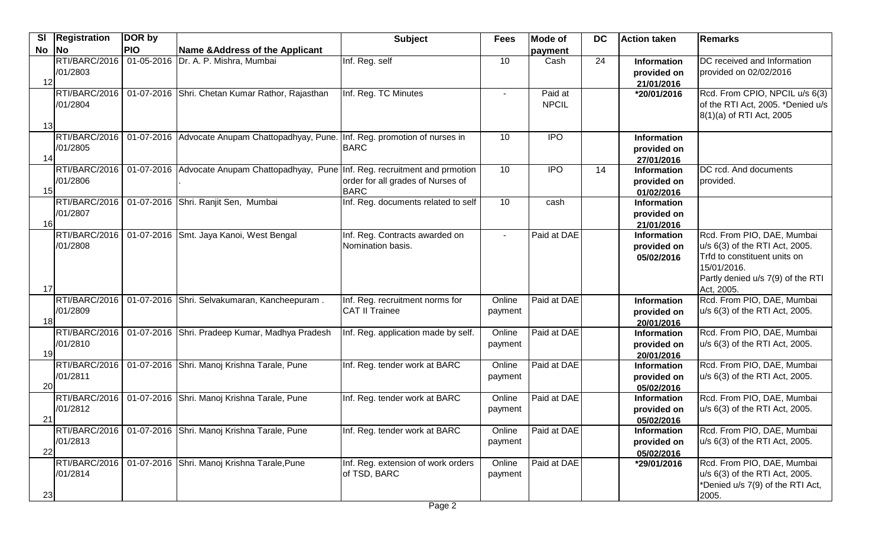| <b>SI</b> | <b>Registration</b>       | DOR by     |                                                                                   | <b>Subject</b>                                           | <b>Fees</b>                    | <b>Mode of</b>          | <b>DC</b> | <b>Action taken</b>                             | Remarks                                                                                                                                                        |
|-----------|---------------------------|------------|-----------------------------------------------------------------------------------|----------------------------------------------------------|--------------------------------|-------------------------|-----------|-------------------------------------------------|----------------------------------------------------------------------------------------------------------------------------------------------------------------|
| <b>No</b> | <b>No</b>                 | <b>PIO</b> | Name & Address of the Applicant                                                   |                                                          |                                | payment                 |           |                                                 |                                                                                                                                                                |
| 12        | RTI/BARC/2016<br>/01/2803 |            | 01-05-2016 Dr. A. P. Mishra, Mumbai                                               | Inf. Reg. self                                           | 10                             | Cash                    | 24        | <b>Information</b><br>provided on<br>21/01/2016 | DC received and Information<br>provided on 02/02/2016                                                                                                          |
|           | RTI/BARC/2016<br>/01/2804 |            | 01-07-2016 Shri. Chetan Kumar Rathor, Rajasthan                                   | Inf. Reg. TC Minutes                                     |                                | Paid at<br><b>NPCIL</b> |           | *20/01/2016                                     | Rcd. From CPIO, NPCIL u/s 6(3)<br>of the RTI Act, 2005. *Denied u/s<br>8(1)(a) of RTI Act, 2005                                                                |
| 13        |                           |            |                                                                                   |                                                          |                                |                         |           |                                                 |                                                                                                                                                                |
| 14        | RTI/BARC/2016<br>/01/2805 |            | 01-07-2016 Advocate Anupam Chattopadhyay, Pune. Inf. Reg. promotion of nurses in  | <b>BARC</b>                                              | 10                             | <b>IPO</b>              |           | <b>Information</b><br>provided on<br>27/01/2016 |                                                                                                                                                                |
| 15        | RTI/BARC/2016<br>/01/2806 |            | 01-07-2016 Advocate Anupam Chattopadhyay, Pune Inf. Reg. recruitment and prmotion | order for all grades of Nurses of<br><b>BARC</b>         | 10                             | <b>IPO</b>              | 14        | <b>Information</b><br>provided on<br>01/02/2016 | DC rcd. And documents<br>provided.                                                                                                                             |
| 16        | RTI/BARC/2016<br>/01/2807 |            | 01-07-2016 Shri. Ranjit Sen, Mumbai                                               | Inf. Reg. documents related to self                      | 10                             | cash                    |           | <b>Information</b><br>provided on<br>21/01/2016 |                                                                                                                                                                |
| 17        | RTI/BARC/2016<br>/01/2808 |            | 01-07-2016 Smt. Jaya Kanoi, West Bengal                                           | Inf. Reg. Contracts awarded on<br>Nomination basis.      | $\blacksquare$                 | Paid at DAE             |           | Information<br>provided on<br>05/02/2016        | Rcd. From PIO, DAE, Mumbai<br>u/s 6(3) of the RTI Act, 2005.<br>Trfd to constituent units on<br>15/01/2016.<br>Partly denied u/s 7(9) of the RTI<br>Act, 2005. |
| 18        | RTI/BARC/2016<br>/01/2809 |            | 01-07-2016 Shri. Selvakumaran, Kancheepuram.                                      | Inf. Reg. recruitment norms for<br><b>CAT II Trainee</b> | Online<br>payment              | Paid at DAE             |           | Information<br>provided on<br>20/01/2016        | Rcd. From PIO, DAE, Mumbai<br>u/s 6(3) of the RTI Act, 2005.                                                                                                   |
| 19        | RTI/BARC/2016<br>/01/2810 |            | 01-07-2016 Shri. Pradeep Kumar, Madhya Pradesh                                    | Inf. Reg. application made by self.                      | $\overline{Online}$<br>payment | Paid at DAE             |           | Information<br>provided on<br>20/01/2016        | Rcd. From PIO, DAE, Mumbai<br>u/s 6(3) of the RTI Act, 2005.                                                                                                   |
| 20        | RTI/BARC/2016<br>/01/2811 |            | 01-07-2016 Shri. Manoj Krishna Tarale, Pune                                       | Inf. Reg. tender work at BARC                            | Online<br>payment              | Paid at DAE             |           | Information<br>provided on<br>05/02/2016        | Rcd. From PIO, DAE, Mumbai<br>u/s 6(3) of the RTI Act, 2005.                                                                                                   |
| 21        | RTI/BARC/2016<br>/01/2812 |            | 01-07-2016 Shri. Manoj Krishna Tarale, Pune                                       | Inf. Reg. tender work at BARC                            | Online<br>payment              | Paid at DAE             |           | Information<br>provided on<br>05/02/2016        | Rcd. From PIO, DAE, Mumbai<br>u/s 6(3) of the RTI Act, 2005.                                                                                                   |
| 22        | /01/2813                  |            | RTI/BARC/2016   01-07-2016 Shri. Manoj Krishna Tarale, Pune                       | Inf. Reg. tender work at BARC                            | Online<br>payment              | Paid at DAE             |           | Information<br>provided on<br>05/02/2016        | Rcd. From PIO, DAE, Mumbai<br>u/s 6(3) of the RTI Act, 2005.                                                                                                   |
| 23        | /01/2814                  |            | RTI/BARC/2016   01-07-2016 Shri. Manoj Krishna Tarale, Pune                       | Inf. Reg. extension of work orders<br>of TSD, BARC       | Online<br>payment              | Paid at DAE             |           | *29/01/2016                                     | Rcd. From PIO, DAE, Mumbai<br>u/s 6(3) of the RTI Act, 2005.<br>*Denied u/s 7(9) of the RTI Act,<br>2005.                                                      |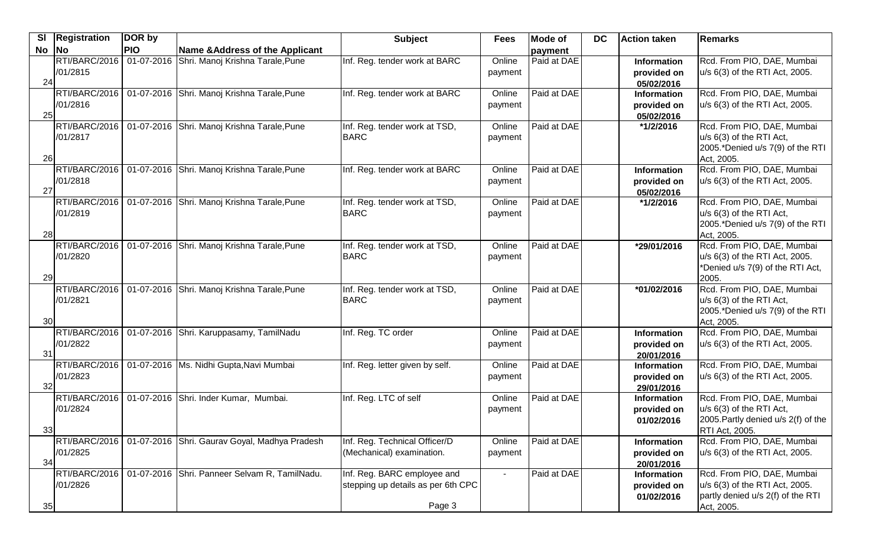| <b>SI</b> | Registration  | DOR by     |                                               | <b>Subject</b>                     | <b>Fees</b>    | <b>Mode of</b> | <b>DC</b> | Action taken              | Remarks                             |
|-----------|---------------|------------|-----------------------------------------------|------------------------------------|----------------|----------------|-----------|---------------------------|-------------------------------------|
| $No$  No  |               | <b>PIO</b> | <b>Name &amp; Address of the Applicant</b>    |                                    |                | payment        |           |                           |                                     |
|           | RTI/BARC/2016 | 01-07-2016 | Shri. Manoj Krishna Tarale, Pune              | Inf. Reg. tender work at BARC      | Online         | Paid at DAE    |           | <b>Information</b>        | Rcd. From PIO, DAE, Mumbai          |
|           | /01/2815      |            |                                               |                                    | payment        |                |           | provided on               | u/s 6(3) of the RTI Act, 2005.      |
| 24        |               |            |                                               |                                    |                |                |           | 05/02/2016                |                                     |
|           | RTI/BARC/2016 |            | 01-07-2016 Shri. Manoj Krishna Tarale, Pune   | Inf. Reg. tender work at BARC      | Online         | Paid at DAE    |           | Information               | Rcd. From PIO, DAE, Mumbai          |
|           | /01/2816      |            |                                               |                                    | payment        |                |           | provided on               | u/s 6(3) of the RTI Act, 2005.      |
| 25        |               |            |                                               |                                    |                |                |           | 05/02/2016                |                                     |
|           | RTI/BARC/2016 |            | 01-07-2016 Shri. Manoj Krishna Tarale, Pune   | Inf. Reg. tender work at TSD,      | Online         | Paid at DAE    |           | *1/2/2016                 | Rcd. From PIO, DAE, Mumbai          |
|           | /01/2817      |            |                                               | <b>BARC</b>                        | payment        |                |           |                           | u/s 6(3) of the RTI Act,            |
|           |               |            |                                               |                                    |                |                |           |                           | 2005.*Denied u/s 7(9) of the RTI    |
| 26        |               |            |                                               |                                    |                |                |           |                           | Act, 2005.                          |
|           | RTI/BARC/2016 |            | 01-07-2016 Shri. Manoj Krishna Tarale, Pune   | Inf. Reg. tender work at BARC      | Online         | Paid at DAE    |           | Information               | Rcd. From PIO, DAE, Mumbai          |
| 27        | /01/2818      |            |                                               |                                    | payment        |                |           | provided on               | u/s 6(3) of the RTI Act, 2005.      |
|           | RTI/BARC/2016 |            | 01-07-2016 Shri. Manoj Krishna Tarale, Pune   | Inf. Reg. tender work at TSD,      | Online         | Paid at DAE    |           | 05/02/2016<br>*1/2/2016   | Rcd. From PIO, DAE, Mumbai          |
|           | /01/2819      |            |                                               | <b>BARC</b>                        | payment        |                |           |                           | u/s 6(3) of the RTI Act,            |
|           |               |            |                                               |                                    |                |                |           |                           | 2005.*Denied u/s 7(9) of the RTI    |
| 28        |               |            |                                               |                                    |                |                |           |                           | Act, 2005.                          |
|           | RTI/BARC/2016 |            | 01-07-2016 Shri. Manoj Krishna Tarale, Pune   | Inf. Reg. tender work at TSD,      | Online         | Paid at DAE    |           | *29/01/2016               | Rcd. From PIO, DAE, Mumbai          |
|           | /01/2820      |            |                                               | <b>BARC</b>                        | payment        |                |           |                           | u/s 6(3) of the RTI Act, 2005.      |
|           |               |            |                                               |                                    |                |                |           |                           | *Denied u/s 7(9) of the RTI Act,    |
| 29        |               |            |                                               |                                    |                |                |           |                           | 2005.                               |
|           | RTI/BARC/2016 |            | 01-07-2016 Shri. Manoj Krishna Tarale, Pune   | Inf. Reg. tender work at TSD,      | Online         | Paid at DAE    |           | *01/02/2016               | Rcd. From PIO, DAE, Mumbai          |
|           | /01/2821      |            |                                               | <b>BARC</b>                        | payment        |                |           |                           | u/s 6(3) of the RTI Act,            |
|           |               |            |                                               |                                    |                |                |           |                           | 2005.*Denied u/s 7(9) of the RTI    |
| 30        |               |            |                                               |                                    |                |                |           |                           | Act, 2005.                          |
|           | RTI/BARC/2016 |            | 01-07-2016 Shri. Karuppasamy, TamilNadu       | Inf. Reg. TC order                 | Online         | Paid at DAE    |           | <b>Information</b>        | Rcd. From PIO, DAE, Mumbai          |
|           | /01/2822      |            |                                               |                                    | payment        |                |           | provided on               | u/s 6(3) of the RTI Act, 2005.      |
| 31        |               |            |                                               |                                    |                |                |           | 20/01/2016                |                                     |
|           | RTI/BARC/2016 |            | 01-07-2016   Ms. Nidhi Gupta, Navi Mumbai     | Inf. Reg. letter given by self.    | Online         | Paid at DAE    |           | Information               | Rcd. From PIO, DAE, Mumbai          |
|           | /01/2823      |            |                                               |                                    | payment        |                |           | provided on               | u/s 6(3) of the RTI Act, 2005.      |
| 32        |               |            |                                               |                                    |                |                |           | 29/01/2016                |                                     |
|           | RTI/BARC/2016 |            | 01-07-2016 Shri. Inder Kumar, Mumbai.         | Inf. Reg. LTC of self              | Online         | Paid at DAE    |           | Information               | Rcd. From PIO, DAE, Mumbai          |
|           | /01/2824      |            |                                               |                                    | payment        |                |           | provided on               | u/s 6(3) of the RTI Act,            |
|           |               |            |                                               |                                    |                |                |           | 01/02/2016                | 2005. Partly denied u/s 2(f) of the |
| 33        |               |            |                                               |                                    |                |                |           |                           | RTI Act, 2005.                      |
|           | RTI/BARC/2016 |            | 01-07-2016 Shri. Gaurav Goyal, Madhya Pradesh | Inf. Reg. Technical Officer/D      | Online         | Paid at DAE    |           | Information               | Rcd. From PIO, DAE, Mumbai          |
| 34        | /01/2825      |            |                                               | (Mechanical) examination.          | payment        |                |           | provided on               | u/s 6(3) of the RTI Act, 2005.      |
|           | RTI/BARC/2016 |            | 01-07-2016 Shri. Panneer Selvam R, TamilNadu. | Inf. Reg. BARC employee and        | $\blacksquare$ | Paid at DAE    |           | 20/01/2016<br>Information | Rcd. From PIO, DAE, Mumbai          |
|           | /01/2826      |            |                                               | stepping up details as per 6th CPC |                |                |           | provided on               | u/s 6(3) of the RTI Act, 2005.      |
|           |               |            |                                               |                                    |                |                |           | 01/02/2016                | partly denied u/s 2(f) of the RTI   |
| 35        |               |            |                                               | Page 3                             |                |                |           |                           | Act, 2005.                          |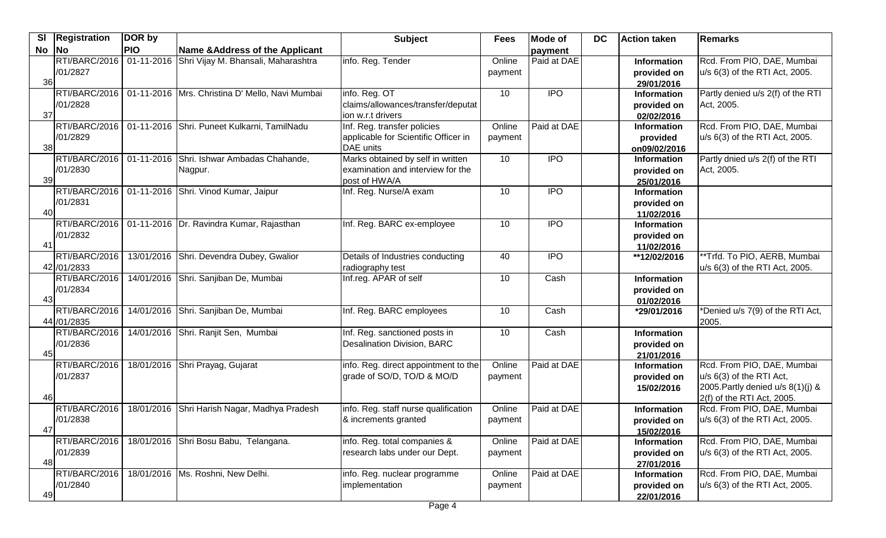| <b>SI</b>             | <b>Registration</b>           | DOR by     |                                                      | <b>Subject</b>                                                                          | <b>Fees</b>       | Mode of          | <b>DC</b> | <b>Action taken</b>                             | Remarks                                                                                                                       |
|-----------------------|-------------------------------|------------|------------------------------------------------------|-----------------------------------------------------------------------------------------|-------------------|------------------|-----------|-------------------------------------------------|-------------------------------------------------------------------------------------------------------------------------------|
| No                    | <b>No</b>                     | <b>PIO</b> | Name & Address of the Applicant                      |                                                                                         |                   | payment          |           |                                                 |                                                                                                                               |
| 36                    | RTI/BARC/2016<br>/01/2827     |            | 01-11-2016 Shri Vijay M. Bhansali, Maharashtra       | info. Reg. Tender                                                                       | Online<br>payment | Paid at DAE      |           | Information<br>provided on<br>29/01/2016        | Rcd. From PIO, DAE, Mumbai<br>u/s 6(3) of the RTI Act, 2005.                                                                  |
| 37                    | RTI/BARC/2016<br>/01/2828     |            | 01-11-2016 Mrs. Christina D' Mello, Navi Mumbai      | info. Reg. OT<br>claims/allowances/transfer/deputat<br>ion w.r.t drivers                | 10                | $\overline{IPO}$ |           | Information<br>provided on<br>02/02/2016        | Partly denied u/s 2(f) of the RTI<br>Act, 2005.                                                                               |
| 38                    | RTI/BARC/2016<br>/01/2829     |            | 01-11-2016 Shri. Puneet Kulkarni, TamilNadu          | Inf. Reg. transfer policies<br>applicable for Scientific Officer in<br>DAE units        | Online<br>payment | Paid at DAE      |           | Information<br>provided<br>on09/02/2016         | Rcd. From PIO, DAE, Mumbai<br>u/s 6(3) of the RTI Act, 2005.                                                                  |
| 39                    | RTI/BARC/2016<br>/01/2830     |            | 01-11-2016 Shri. Ishwar Ambadas Chahande,<br>Nagpur. | Marks obtained by self in written<br>examination and interview for the<br>post of HWA/A | 10                | <b>IPO</b>       |           | <b>Information</b><br>provided on<br>25/01/2016 | Partly dnied u/s 2(f) of the RTI<br>Act, 2005.                                                                                |
| 40                    | RTI/BARC/2016<br>/01/2831     |            | 01-11-2016 Shri. Vinod Kumar, Jaipur                 | Inf. Reg. Nurse/A exam                                                                  | 10                | <b>IPO</b>       |           | <b>Information</b><br>provided on<br>11/02/2016 |                                                                                                                               |
| $\mathbf{4}^{\prime}$ | RTI/BARC/2016<br>/01/2832     |            | 01-11-2016 Dr. Ravindra Kumar, Rajasthan             | Inf. Reg. BARC ex-employee                                                              | 10                | <b>IPO</b>       |           | <b>Information</b><br>provided on<br>11/02/2016 |                                                                                                                               |
|                       | RTI/BARC/2016<br>42 / 01/2833 |            | 13/01/2016 Shri. Devendra Dubey, Gwalior             | Details of Industries conducting<br>radiography test                                    | 40                | $\overline{1}$   |           | **12/02/2016                                    | **Trfd. To PIO, AERB, Mumbai<br>u/s 6(3) of the RTI Act, 2005.                                                                |
| 43                    | RTI/BARC/2016<br>/01/2834     |            | 14/01/2016 Shri. Sanjiban De, Mumbai                 | Inf.reg. APAR of self                                                                   | 10                | Cash             |           | <b>Information</b><br>provided on<br>01/02/2016 |                                                                                                                               |
|                       | RTI/BARC/2016<br>44 / 01/2835 |            | 14/01/2016 Shri. Sanjiban De, Mumbai                 | Inf. Reg. BARC employees                                                                | 10                | Cash             |           | *29/01/2016                                     | *Denied u/s 7(9) of the RTI Act,<br><b>2005.</b>                                                                              |
| 45                    | RTI/BARC/2016<br>/01/2836     |            | 14/01/2016 Shri. Ranjit Sen, Mumbai                  | Inf. Reg. sanctioned posts in<br><b>Desalination Division, BARC</b>                     | 10                | Cash             |           | <b>Information</b><br>provided on<br>21/01/2016 |                                                                                                                               |
| 46                    | RTI/BARC/2016<br>/01/2837     |            | 18/01/2016 Shri Prayag, Gujarat                      | info. Reg. direct appointment to the<br>grade of SO/D, TO/D & MO/D                      | Online<br>payment | Paid at DAE      |           | <b>Information</b><br>provided on<br>15/02/2016 | Rcd. From PIO, DAE, Mumbai<br>u/s 6(3) of the RTI Act,<br>2005. Partly denied $u/s$ 8(1)(j) &<br>$2(f)$ of the RTI Act, 2005. |
| 47                    | RTI/BARC/2016<br>/01/2838     | 18/01/2016 | Shri Harish Nagar, Madhya Pradesh                    | info. Reg. staff nurse qualification<br>& increments granted                            | Online<br>payment | Paid at DAE      |           | Information<br>provided on<br>15/02/2016        | Rcd. From PIO, DAE, Mumbai<br>u/s 6(3) of the RTI Act, 2005.                                                                  |
| 48                    | RTI/BARC/2016<br>/01/2839     |            | 18/01/2016 Shri Bosu Babu, Telangana.                | info. Reg. total companies &<br>research labs under our Dept.                           | Online<br>payment | Paid at DAE      |           | Information<br>provided on<br>27/01/2016        | Rcd. From PIO, DAE, Mumbai<br>u/s 6(3) of the RTI Act, 2005.                                                                  |
| 49                    | RTI/BARC/2016<br>/01/2840     |            | 18/01/2016   Ms. Roshni, New Delhi.                  | info. Reg. nuclear programme<br>implementation                                          | Online<br>payment | Paid at DAE      |           | Information<br>provided on<br>22/01/2016        | Rcd. From PIO, DAE, Mumbai<br>u/s 6(3) of the RTI Act, 2005.                                                                  |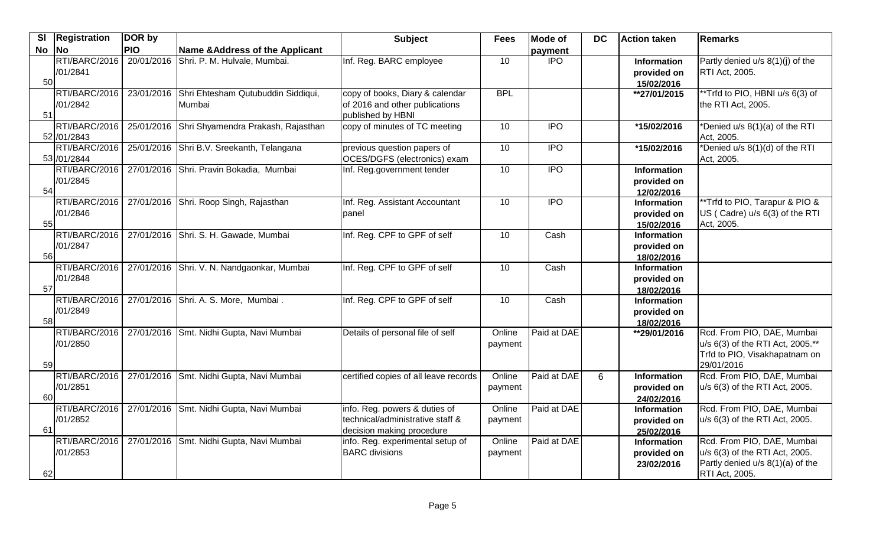| $\overline{\mathbf{S}}$ | Registration                 | DOR by     |                                                         | <b>Subject</b>                                                                                 | <b>Fees</b>       | <b>Mode of</b>   | <b>DC</b> | <b>Action taken</b>                             | <b>Remarks</b>                                                                                                     |
|-------------------------|------------------------------|------------|---------------------------------------------------------|------------------------------------------------------------------------------------------------|-------------------|------------------|-----------|-------------------------------------------------|--------------------------------------------------------------------------------------------------------------------|
| <b>No</b>               | $\overline{\phantom{a}}$ No  | <b>PIO</b> | Name & Address of the Applicant                         |                                                                                                |                   | payment          |           |                                                 |                                                                                                                    |
| 50                      | RTI/BARC/2016<br>/01/2841    |            | 20/01/2016 Shri. P. M. Hulvale, Mumbai.                 | Inf. Reg. BARC employee                                                                        | 10                | $\overline{IPO}$ |           | Information<br>provided on<br>15/02/2016        | Partly denied $u/s$ 8(1)(j) of the<br><b>RTI Act, 2005.</b>                                                        |
| 51                      | RTI/BARC/2016<br>/01/2842    |            | 23/01/2016 Shri Ehtesham Qutubuddin Siddiqui,<br>Mumbai | copy of books, Diary & calendar<br>of 2016 and other publications<br>published by HBNI         | <b>BPL</b>        |                  |           | **27/01/2015                                    | **Trfd to PIO, HBNI u/s 6(3) of<br>the RTI Act, 2005.                                                              |
|                         | RTI/BARC/2016<br>52 /01/2843 |            | 25/01/2016 Shri Shyamendra Prakash, Rajasthan           | copy of minutes of TC meeting                                                                  | $\overline{10}$   | <b>IPO</b>       |           | *15/02/2016                                     | *Denied u/s 8(1)(a) of the RTI<br>Act, 2005.                                                                       |
|                         | RTI/BARC/2016<br>53 /01/2844 |            | 25/01/2016 Shri B.V. Sreekanth, Telangana               | previous question papers of<br>OCES/DGFS (electronics) exam                                    | 10                | <b>IPO</b>       |           | *15/02/2016                                     | *Denied u/s 8(1)(d) of the RTI<br>Act, 2005.                                                                       |
| 54                      | RTI/BARC/2016<br>/01/2845    |            | 27/01/2016 Shri. Pravin Bokadia, Mumbai                 | Inf. Reg.government tender                                                                     | 10                | $\overline{IPO}$ |           | Information<br>provided on<br>12/02/2016        |                                                                                                                    |
| 55                      | RTI/BARC/2016<br>/01/2846    |            | 27/01/2016 Shri. Roop Singh, Rajasthan                  | Inf. Reg. Assistant Accountant<br>panel                                                        | 10                | $\overline{1}$   |           | Information<br>provided on<br>15/02/2016        | *Trfd to PIO, Tarapur & PIO &<br>US (Cadre) u/s 6(3) of the RTI<br>Act, 2005.                                      |
| 56                      | RTI/BARC/2016<br>/01/2847    |            | 27/01/2016 Shri. S. H. Gawade, Mumbai                   | Inf. Reg. CPF to GPF of self                                                                   | 10                | Cash             |           | <b>Information</b><br>provided on<br>18/02/2016 |                                                                                                                    |
| 57                      | RTI/BARC/2016<br>/01/2848    |            | 27/01/2016 Shri. V. N. Nandgaonkar, Mumbai              | Inf. Reg. CPF to GPF of self                                                                   | 10                | Cash             |           | Information<br>provided on<br>18/02/2016        |                                                                                                                    |
| 58                      | RTI/BARC/2016<br>/01/2849    |            | 27/01/2016 Shri. A. S. More, Mumbai.                    | Inf. Reg. CPF to GPF of self                                                                   | 10                | Cash             |           | Information<br>provided on<br>18/02/2016        |                                                                                                                    |
| 59                      | RTI/BARC/2016<br>/01/2850    |            | 27/01/2016 Smt. Nidhi Gupta, Navi Mumbai                | Details of personal file of self                                                               | Online<br>payment | Paid at DAE      |           | **29/01/2016                                    | Rcd. From PIO, DAE, Mumbai<br>u/s 6(3) of the RTI Act, 2005.**<br>Trfd to PIO, Visakhapatnam on<br>29/01/2016      |
| 60                      | RTI/BARC/2016<br>/01/2851    |            | 27/01/2016 Smt. Nidhi Gupta, Navi Mumbai                | certified copies of all leave records                                                          | Online<br>payment | Paid at DAE      | 6         | Information<br>provided on<br>24/02/2016        | Rcd. From PIO, DAE, Mumbai<br>u/s 6(3) of the RTI Act, 2005.                                                       |
| 61                      | RTI/BARC/2016<br>/01/2852    |            | 27/01/2016 Smt. Nidhi Gupta, Navi Mumbai                | info. Reg. powers & duties of<br>technical/administrative staff &<br>decision making procedure | Online<br>payment | Paid at DAE      |           | <b>Information</b><br>provided on<br>25/02/2016 | Rcd. From PIO, DAE, Mumbai<br>u/s 6(3) of the RTI Act, 2005.                                                       |
| 62                      | RTI/BARC/2016<br>/01/2853    |            | 27/01/2016 Smt. Nidhi Gupta, Navi Mumbai                | info. Reg. experimental setup of<br><b>BARC</b> divisions                                      | Online<br>payment | Paid at DAE      |           | Information<br>provided on<br>23/02/2016        | Rcd. From PIO, DAE, Mumbai<br>u/s 6(3) of the RTI Act, 2005.<br>Partly denied u/s 8(1)(a) of the<br>RTI Act, 2005. |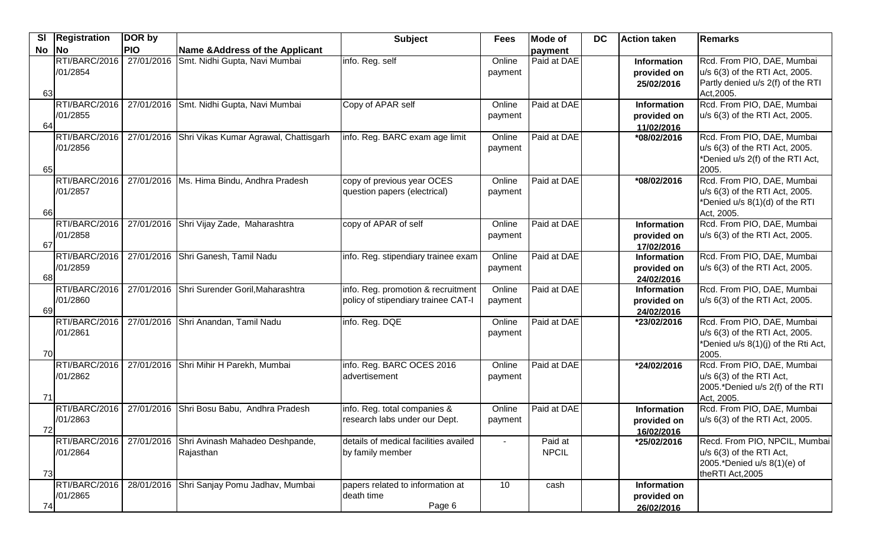| <b>SI</b> | Registration  | DOR by     |                                              | <b>Subject</b>                        | <b>Fees</b> | Mode of      | <b>DC</b> | <b>Action taken</b>       | <b>Remarks</b>                      |
|-----------|---------------|------------|----------------------------------------------|---------------------------------------|-------------|--------------|-----------|---------------------------|-------------------------------------|
| No        | <b>No</b>     | <b>PIO</b> | <b>Name &amp; Address of the Applicant</b>   |                                       |             | payment      |           |                           |                                     |
|           | RTI/BARC/2016 | 27/01/2016 | Smt. Nidhi Gupta, Navi Mumbai                | info. Reg. self                       | Online      | Paid at DAE  |           | Information               | Rcd. From PIO, DAE, Mumbai          |
|           | /01/2854      |            |                                              |                                       | payment     |              |           | provided on               | u/s 6(3) of the RTI Act, 2005.      |
|           |               |            |                                              |                                       |             |              |           | 25/02/2016                | Partly denied u/s 2(f) of the RTI   |
| 63        |               |            |                                              |                                       |             |              |           |                           | Act, 2005.                          |
|           | RTI/BARC/2016 |            | 27/01/2016 Smt. Nidhi Gupta, Navi Mumbai     | Copy of APAR self                     | Online      | Paid at DAE  |           | Information               | Rcd. From PIO, DAE, Mumbai          |
|           | /01/2855      |            |                                              |                                       | payment     |              |           | provided on               | u/s 6(3) of the RTI Act, 2005.      |
| 64        | RTI/BARC/2016 | 27/01/2016 |                                              | info. Reg. BARC exam age limit        | Online      | Paid at DAE  |           | 11/02/2016                | Rcd. From PIO, DAE, Mumbai          |
|           | /01/2856      |            | Shri Vikas Kumar Agrawal, Chattisgarh        |                                       | payment     |              |           | *08/02/2016               | u/s 6(3) of the RTI Act, 2005.      |
|           |               |            |                                              |                                       |             |              |           |                           | *Denied u/s 2(f) of the RTI Act,    |
| 65        |               |            |                                              |                                       |             |              |           |                           | 2005.                               |
|           | RTI/BARC/2016 |            | 27/01/2016   Ms. Hima Bindu, Andhra Pradesh  | copy of previous year OCES            | Online      | Paid at DAE  |           | *08/02/2016               | Rcd. From PIO, DAE, Mumbai          |
|           | /01/2857      |            |                                              | question papers (electrical)          | payment     |              |           |                           | u/s 6(3) of the RTI Act, 2005.      |
|           |               |            |                                              |                                       |             |              |           |                           | *Denied u/s 8(1)(d) of the RTI      |
| 66        |               |            |                                              |                                       |             |              |           |                           | Act, 2005.                          |
|           | RTI/BARC/2016 | 27/01/2016 | Shri Vijay Zade, Maharashtra                 | copy of APAR of self                  | Online      | Paid at DAE  |           | Information               | Rcd. From PIO, DAE, Mumbai          |
|           | /01/2858      |            |                                              |                                       | payment     |              |           | provided on               | u/s 6(3) of the RTI Act, 2005.      |
| 67        |               |            |                                              |                                       |             |              |           | 17/02/2016                |                                     |
|           | RTI/BARC/2016 | 27/01/2016 | Shri Ganesh, Tamil Nadu                      | info. Reg. stipendiary trainee exam   | Online      | Paid at DAE  |           | Information               | Rcd. From PIO, DAE, Mumbai          |
|           | /01/2859      |            |                                              |                                       | payment     |              |           | provided on               | u/s 6(3) of the RTI Act, 2005.      |
| 68        |               |            |                                              |                                       |             |              |           | 24/02/2016                |                                     |
|           | RTI/BARC/2016 |            | 27/01/2016 Shri Surender Goril, Maharashtra  | info. Reg. promotion & recruitment    | Online      | Paid at DAE  |           | Information               | Rcd. From PIO, DAE, Mumbai          |
|           | /01/2860      |            |                                              | policy of stipendiary trainee CAT-I   | payment     |              |           | provided on               | u/s 6(3) of the RTI Act, 2005.      |
| 69        | RTI/BARC/2016 | 27/01/2016 | Shri Anandan, Tamil Nadu                     | info. Reg. DQE                        | Online      | Paid at DAE  |           | 24/02/2016<br>*23/02/2016 | Rcd. From PIO, DAE, Mumbai          |
|           | /01/2861      |            |                                              |                                       | payment     |              |           |                           | u/s 6(3) of the RTI Act, 2005.      |
|           |               |            |                                              |                                       |             |              |           |                           | *Denied u/s 8(1)(j) of the Rti Act, |
| 70        |               |            |                                              |                                       |             |              |           |                           | 2005.                               |
|           | RTI/BARC/2016 |            | 27/01/2016 Shri Mihir H Parekh, Mumbai       | info. Reg. BARC OCES 2016             | Online      | Paid at DAE  |           | *24/02/2016               | Rcd. From PIO, DAE, Mumbai          |
|           | /01/2862      |            |                                              | Iadvertisement                        | payment     |              |           |                           | u/s 6(3) of the RTI Act,            |
|           |               |            |                                              |                                       |             |              |           |                           | 2005.*Denied u/s 2(f) of the RTI    |
| 71        |               |            |                                              |                                       |             |              |           |                           | Act, 2005.                          |
|           | RTI/BARC/2016 | 27/01/2016 | Shri Bosu Babu, Andhra Pradesh               | info. Reg. total companies &          | Online      | Paid at DAE  |           | <b>Information</b>        | Rcd. From PIO, DAE, Mumbai          |
|           | /01/2863      |            |                                              | research labs under our Dept.         | payment     |              |           | provided on               | u/s 6(3) of the RTI Act, 2005.      |
| 72        | RTI/BARC/2016 | 27/01/2016 |                                              | details of medical facilities availed |             | Paid at      |           | 16/02/2016                | Recd. From PIO, NPCIL, Mumbai       |
|           | /01/2864      |            | Shri Avinash Mahadeo Deshpande,<br>Rajasthan | by family member                      |             | <b>NPCIL</b> |           | *25/02/2016               | u/s 6(3) of the RTI Act,            |
|           |               |            |                                              |                                       |             |              |           |                           | 2005.*Denied u/s 8(1)(e) of         |
| 73        |               |            |                                              |                                       |             |              |           |                           | theRTI Act, 2005                    |
|           | RTI/BARC/2016 | 28/01/2016 | Shri Sanjay Pomu Jadhav, Mumbai              | papers related to information at      | 10          | cash         |           | <b>Information</b>        |                                     |
|           | /01/2865      |            |                                              | death time                            |             |              |           | provided on               |                                     |
| 74        |               |            |                                              | Page 6                                |             |              |           | 26/02/2016                |                                     |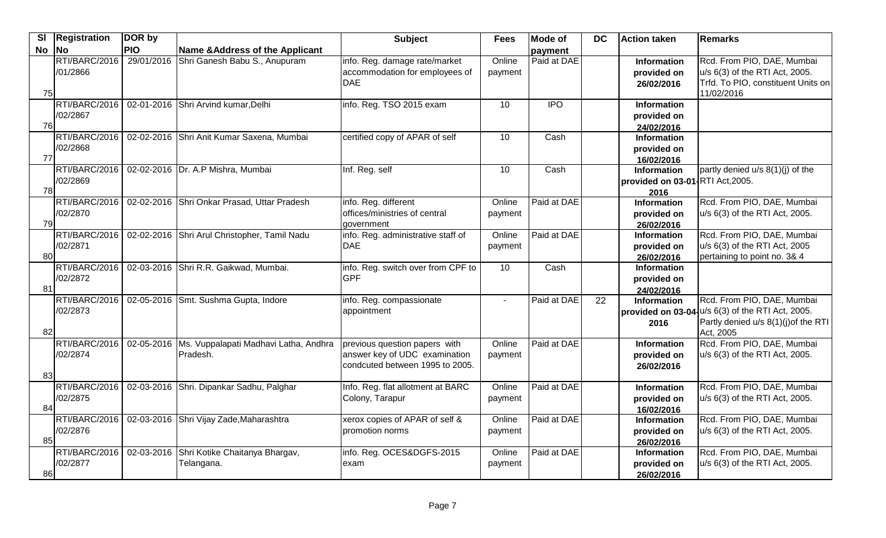| $\overline{\mathbf{S}}$ | Registration  | DOR by     |                                                    | <b>Subject</b>                     | <b>Fees</b> | <b>Mode of</b> | <b>DC</b>       | <b>Action taken</b>              | Remarks                                           |
|-------------------------|---------------|------------|----------------------------------------------------|------------------------------------|-------------|----------------|-----------------|----------------------------------|---------------------------------------------------|
| No No                   |               | <b>PIO</b> | <b>Name &amp; Address of the Applicant</b>         |                                    |             | payment        |                 |                                  |                                                   |
|                         | RTI/BARC/2016 | 29/01/2016 | Shri Ganesh Babu S., Anupuram                      | info. Reg. damage rate/market      | Online      | Paid at DAE    |                 | Information                      | Rcd. From PIO, DAE, Mumbai                        |
|                         | /01/2866      |            |                                                    | accommodation for employees of     | payment     |                |                 | provided on                      | u/s 6(3) of the RTI Act, 2005.                    |
|                         |               |            |                                                    | DAE                                |             |                |                 | 26/02/2016                       | Trfd. To PIO, constituent Units on                |
| 75                      |               |            |                                                    |                                    |             |                |                 |                                  | 11/02/2016                                        |
|                         | RTI/BARC/2016 |            | 02-01-2016 Shri Arvind kumar, Delhi                | info. Reg. TSO 2015 exam           | 10          | <b>IPO</b>     |                 | <b>Information</b>               |                                                   |
| 76                      | /02/2867      |            |                                                    |                                    |             |                |                 | provided on                      |                                                   |
|                         | RTI/BARC/2016 |            | 02-02-2016 Shri Anit Kumar Saxena, Mumbai          | certified copy of APAR of self     | 10          | Cash           |                 | 24/02/2016<br><b>Information</b> |                                                   |
|                         | /02/2868      |            |                                                    |                                    |             |                |                 | provided on                      |                                                   |
| 77                      |               |            |                                                    |                                    |             |                |                 | 16/02/2016                       |                                                   |
|                         | RTI/BARC/2016 |            | 02-02-2016 Dr. A.P Mishra, Mumbai                  | Inf. Reg. self                     | 10          | Cash           |                 | Information                      | partly denied u/s 8(1)(j) of the                  |
|                         | /02/2869      |            |                                                    |                                    |             |                |                 | provided on 03-01 RTI Act, 2005. |                                                   |
| 78                      |               |            |                                                    |                                    |             |                |                 | 2016                             |                                                   |
|                         | RTI/BARC/2016 |            | 02-02-2016 Shri Onkar Prasad, Uttar Pradesh        | info. Reg. different               | Online      | Paid at DAE    |                 | <b>Information</b>               | Rcd. From PIO, DAE, Mumbai                        |
|                         | /02/2870      |            |                                                    | offices/ministries of central      | payment     |                |                 | provided on                      | u/s 6(3) of the RTI Act, 2005.                    |
| 79                      |               |            |                                                    | government                         |             |                |                 | 26/02/2016                       |                                                   |
|                         | RTI/BARC/2016 |            | 02-02-2016 Shri Arul Christopher, Tamil Nadu       | info. Reg. administrative staff of | Online      | Paid at DAE    |                 | Information                      | Rcd. From PIO, DAE, Mumbai                        |
|                         | /02/2871      |            |                                                    | DAE                                | payment     |                |                 | provided on                      | u/s 6(3) of the RTI Act, 2005                     |
| 80                      |               |            |                                                    |                                    |             |                |                 | 26/02/2016                       | pertaining to point no. 3& 4                      |
|                         | RTI/BARC/2016 |            | 02-03-2016 Shri R.R. Gaikwad, Mumbai.              | info. Reg. switch over from CPF to | 10          | Cash           |                 | <b>Information</b>               |                                                   |
|                         | /02/2872      |            |                                                    | <b>GPF</b>                         |             |                |                 | provided on                      |                                                   |
| 81                      |               |            |                                                    |                                    |             |                |                 | 24/02/2016                       |                                                   |
|                         | RTI/BARC/2016 |            | 02-05-2016 Smt. Sushma Gupta, Indore               | info. Reg. compassionate           | $\sim$      | Paid at DAE    | $\overline{22}$ | Information                      | Rcd. From PIO, DAE, Mumbai                        |
|                         | /02/2873      |            |                                                    | appointment                        |             |                |                 |                                  | provided on 03-04-u/s 6(3) of the RTI Act, 2005.  |
| 82                      |               |            |                                                    |                                    |             |                |                 | 2016                             | Partly denied u/s 8(1)(j) of the RTI<br>Act, 2005 |
|                         | RTI/BARC/2016 |            | 02-05-2016   Ms. Vuppalapati Madhavi Latha, Andhra | previous question papers with      | Online      | Paid at DAE    |                 | Information                      | Rcd. From PIO, DAE, Mumbai                        |
|                         | /02/2874      |            | Pradesh.                                           | answer key of UDC examination      | payment     |                |                 | provided on                      | u/s 6(3) of the RTI Act, 2005.                    |
|                         |               |            |                                                    | condcuted between 1995 to 2005.    |             |                |                 | 26/02/2016                       |                                                   |
| 83                      |               |            |                                                    |                                    |             |                |                 |                                  |                                                   |
|                         | RTI/BARC/2016 |            | 02-03-2016 Shri. Dipankar Sadhu, Palghar           | Info. Reg. flat allotment at BARC  | Online      | Paid at DAE    |                 | <b>Information</b>               | Rcd. From PIO, DAE, Mumbai                        |
|                         | /02/2875      |            |                                                    | Colony, Tarapur                    | payment     |                |                 | provided on                      | u/s 6(3) of the RTI Act, 2005.                    |
| 84                      |               |            |                                                    |                                    |             |                |                 | 16/02/2016                       |                                                   |
|                         | RTI/BARC/2016 |            | 02-03-2016 Shri Vijay Zade, Maharashtra            | xerox copies of APAR of self &     | Online      | Paid at DAE    |                 | Information                      | Rcd. From PIO, DAE, Mumbai                        |
|                         | /02/2876      |            |                                                    | promotion norms                    | payment     |                |                 | provided on                      | u/s 6(3) of the RTI Act, 2005.                    |
| 85                      |               |            |                                                    |                                    |             |                |                 | 26/02/2016                       |                                                   |
|                         | RTI/BARC/2016 | 02-03-2016 | Shri Kotike Chaitanya Bhargav,                     | info. Reg. OCES&DGFS-2015          | Online      | Paid at DAE    |                 | Information                      | Rcd. From PIO, DAE, Mumbai                        |
|                         | /02/2877      |            | Telangana.                                         | exam                               | payment     |                |                 | provided on                      | u/s 6(3) of the RTI Act, 2005.                    |
| 86                      |               |            |                                                    |                                    |             |                |                 | 26/02/2016                       |                                                   |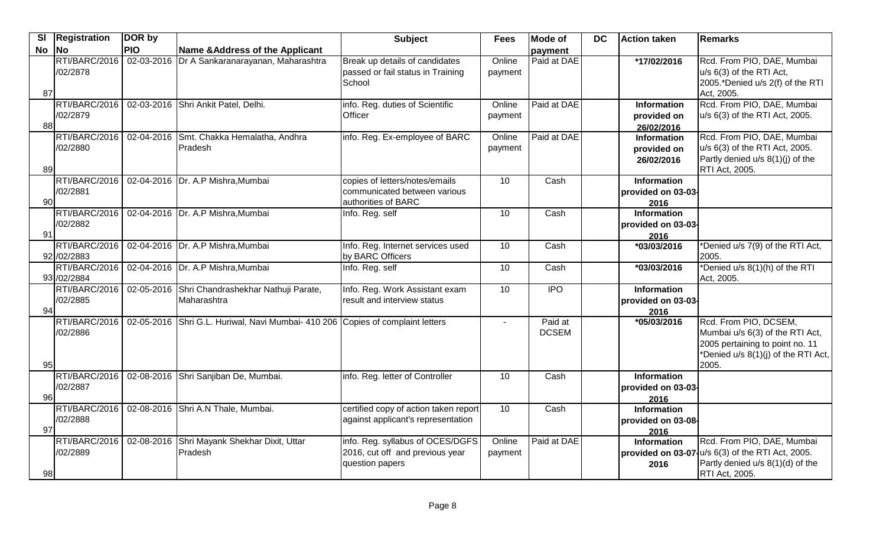| <b>No</b><br><b>No</b><br><b>PIO</b><br>Name & Address of the Applicant<br>payment<br>RTI/BARC/2016<br>02-03-2016<br>Dr A Sankaranarayanan, Maharashtra<br>Break up details of candidates<br>Online<br>Paid at DAE<br>*17/02/2016<br>Rcd. From PIO, DAE, Mumbai<br>/02/2878<br>passed or fail status in Training<br>u/s 6(3) of the RTI Act,<br>payment<br>School<br>2005.*Denied u/s 2(f) of the RTI<br>87<br>Act, 2005.<br>Rcd. From PIO, DAE, Mumbai<br>RTI/BARC/2016<br>02-03-2016 Shri Ankit Patel, Delhi.<br>Paid at DAE<br>info. Reg. duties of Scientific<br>Online<br>Information<br>/02/2879<br>u/s 6(3) of the RTI Act, 2005.<br>Officer<br>payment<br>provided on<br>88<br>26/02/2016<br>RTI/BARC/2016<br>Paid at DAE<br>Rcd. From PIO, DAE, Mumbai<br>02-04-2016 Smt. Chakka Hemalatha, Andhra<br>info. Reg. Ex-employee of BARC<br>Online<br>Information<br>/02/2880<br>Pradesh<br>u/s 6(3) of the RTI Act, 2005.<br>payment<br>provided on<br>Partly denied u/s 8(1)(j) of the<br>26/02/2016<br>89<br><b>RTI Act, 2005.</b><br>RTI/BARC/2016<br>02-04-2016   Dr. A.P Mishra, Mumbai<br>10<br>Cash<br>copies of letters/notes/emails<br><b>Information</b><br>/02/2881<br>communicated between various<br>provided on 03-03-<br>90<br>authorities of BARC<br>2016<br>RTI/BARC/2016<br>02-04-2016 Dr. A.P Mishra, Mumbai<br>10<br>Cash<br><b>Information</b><br>Info. Reg. self<br>/02/2882<br>provided on 03-03-<br>91<br>2016<br>RTI/BARC/2016<br>02-04-2016 Dr. A.P Mishra, Mumbai<br>10<br>*Denied u/s 7(9) of the RTI Act,<br>Info. Reg. Internet services used<br>Cash<br>*03/03/2016<br>92 / 02 / 2883<br>by BARC Officers<br>2005.<br>02-04-2016 Dr. A.P Mishra, Mumbai<br>*Denied u/s 8(1)(h) of the RTI<br>RTI/BARC/2016<br>10<br>$\overline{\text{Cash}}$<br>Info. Reg. self<br>*03/03/2016<br>93 / 02/2884<br>Act, 2005.<br>IPO<br>RTI/BARC/2016<br>02-05-2016 Shri Chandrashekhar Nathuji Parate,<br>10<br>Info. Reg. Work Assistant exam<br><b>Information</b><br>/02/2885<br>Maharashtra<br>result and interview status<br>provided on 03-03-<br>94<br>2016<br>RTI/BARC/2016<br>02-05-2016 Shri G.L. Huriwal, Navi Mumbai- 410 206 Copies of complaint letters<br>Paid at<br>Rcd. From PIO, DCSEM,<br>$*05/03/2016$<br>$\sim$<br><b>DCSEM</b><br>Mumbai u/s 6(3) of the RTI Act,<br>/02/2886<br>2005 pertaining to point no. 11<br>*Denied u/s 8(1)(j) of the RTI Act,<br>2005.<br>95<br>RTI/BARC/2016<br>02-08-2016 Shri Sanjiban De, Mumbai.<br>info. Reg. letter of Controller<br>10<br>Cash<br><b>Information</b><br>/02/2887<br>provided on 03-03-<br>96<br>2016<br>RTI/BARC/2016<br>02-08-2016 Shri A.N Thale, Mumbai.<br>certified copy of action taken report<br>10<br>Cash<br><b>Information</b><br>/02/2888<br>against applicant's representation<br>provided on 03-08-<br>97<br>2016<br>Paid at DAE<br>RTI/BARC/2016<br>02-08-2016 Shri Mayank Shekhar Dixit, Uttar<br>info. Reg. syllabus of OCES/DGFS<br>Online<br>Rcd. From PIO, DAE, Mumbai<br><b>Information</b><br>$u/s$ 6(3) of the RTI Act, 2005.<br>/02/2889<br>2016, cut off and previous year<br>Pradesh<br>provided on 03-07<br>payment<br>Partly denied u/s 8(1)(d) of the<br>question papers<br>2016 | <b>SI</b> | <b>Registration</b> | DOR by | <b>Subject</b> | <b>Fees</b> | <b>Mode of</b> | <b>DC</b> | Action taken | Remarks |
|-----------------------------------------------------------------------------------------------------------------------------------------------------------------------------------------------------------------------------------------------------------------------------------------------------------------------------------------------------------------------------------------------------------------------------------------------------------------------------------------------------------------------------------------------------------------------------------------------------------------------------------------------------------------------------------------------------------------------------------------------------------------------------------------------------------------------------------------------------------------------------------------------------------------------------------------------------------------------------------------------------------------------------------------------------------------------------------------------------------------------------------------------------------------------------------------------------------------------------------------------------------------------------------------------------------------------------------------------------------------------------------------------------------------------------------------------------------------------------------------------------------------------------------------------------------------------------------------------------------------------------------------------------------------------------------------------------------------------------------------------------------------------------------------------------------------------------------------------------------------------------------------------------------------------------------------------------------------------------------------------------------------------------------------------------------------------------------------------------------------------------------------------------------------------------------------------------------------------------------------------------------------------------------------------------------------------------------------------------------------------------------------------------------------------------------------------------------------------------------------------------------------------------------------------------------------------------------------------------------------------------------------------------------------------------------------------------------------------------------------------------------------------------------------------------------------------------------------------------------------------------------------------------------------------------------------------------------------------------------------------------------------------------------------------------------------------------------------------------------------------------------------------------------------------------------------------------------|-----------|---------------------|--------|----------------|-------------|----------------|-----------|--------------|---------|
|                                                                                                                                                                                                                                                                                                                                                                                                                                                                                                                                                                                                                                                                                                                                                                                                                                                                                                                                                                                                                                                                                                                                                                                                                                                                                                                                                                                                                                                                                                                                                                                                                                                                                                                                                                                                                                                                                                                                                                                                                                                                                                                                                                                                                                                                                                                                                                                                                                                                                                                                                                                                                                                                                                                                                                                                                                                                                                                                                                                                                                                                                                                                                                                                           |           |                     |        |                |             |                |           |              |         |
|                                                                                                                                                                                                                                                                                                                                                                                                                                                                                                                                                                                                                                                                                                                                                                                                                                                                                                                                                                                                                                                                                                                                                                                                                                                                                                                                                                                                                                                                                                                                                                                                                                                                                                                                                                                                                                                                                                                                                                                                                                                                                                                                                                                                                                                                                                                                                                                                                                                                                                                                                                                                                                                                                                                                                                                                                                                                                                                                                                                                                                                                                                                                                                                                           |           |                     |        |                |             |                |           |              |         |
|                                                                                                                                                                                                                                                                                                                                                                                                                                                                                                                                                                                                                                                                                                                                                                                                                                                                                                                                                                                                                                                                                                                                                                                                                                                                                                                                                                                                                                                                                                                                                                                                                                                                                                                                                                                                                                                                                                                                                                                                                                                                                                                                                                                                                                                                                                                                                                                                                                                                                                                                                                                                                                                                                                                                                                                                                                                                                                                                                                                                                                                                                                                                                                                                           |           |                     |        |                |             |                |           |              |         |
|                                                                                                                                                                                                                                                                                                                                                                                                                                                                                                                                                                                                                                                                                                                                                                                                                                                                                                                                                                                                                                                                                                                                                                                                                                                                                                                                                                                                                                                                                                                                                                                                                                                                                                                                                                                                                                                                                                                                                                                                                                                                                                                                                                                                                                                                                                                                                                                                                                                                                                                                                                                                                                                                                                                                                                                                                                                                                                                                                                                                                                                                                                                                                                                                           |           |                     |        |                |             |                |           |              |         |
|                                                                                                                                                                                                                                                                                                                                                                                                                                                                                                                                                                                                                                                                                                                                                                                                                                                                                                                                                                                                                                                                                                                                                                                                                                                                                                                                                                                                                                                                                                                                                                                                                                                                                                                                                                                                                                                                                                                                                                                                                                                                                                                                                                                                                                                                                                                                                                                                                                                                                                                                                                                                                                                                                                                                                                                                                                                                                                                                                                                                                                                                                                                                                                                                           |           |                     |        |                |             |                |           |              |         |
|                                                                                                                                                                                                                                                                                                                                                                                                                                                                                                                                                                                                                                                                                                                                                                                                                                                                                                                                                                                                                                                                                                                                                                                                                                                                                                                                                                                                                                                                                                                                                                                                                                                                                                                                                                                                                                                                                                                                                                                                                                                                                                                                                                                                                                                                                                                                                                                                                                                                                                                                                                                                                                                                                                                                                                                                                                                                                                                                                                                                                                                                                                                                                                                                           |           |                     |        |                |             |                |           |              |         |
|                                                                                                                                                                                                                                                                                                                                                                                                                                                                                                                                                                                                                                                                                                                                                                                                                                                                                                                                                                                                                                                                                                                                                                                                                                                                                                                                                                                                                                                                                                                                                                                                                                                                                                                                                                                                                                                                                                                                                                                                                                                                                                                                                                                                                                                                                                                                                                                                                                                                                                                                                                                                                                                                                                                                                                                                                                                                                                                                                                                                                                                                                                                                                                                                           |           |                     |        |                |             |                |           |              |         |
|                                                                                                                                                                                                                                                                                                                                                                                                                                                                                                                                                                                                                                                                                                                                                                                                                                                                                                                                                                                                                                                                                                                                                                                                                                                                                                                                                                                                                                                                                                                                                                                                                                                                                                                                                                                                                                                                                                                                                                                                                                                                                                                                                                                                                                                                                                                                                                                                                                                                                                                                                                                                                                                                                                                                                                                                                                                                                                                                                                                                                                                                                                                                                                                                           |           |                     |        |                |             |                |           |              |         |
|                                                                                                                                                                                                                                                                                                                                                                                                                                                                                                                                                                                                                                                                                                                                                                                                                                                                                                                                                                                                                                                                                                                                                                                                                                                                                                                                                                                                                                                                                                                                                                                                                                                                                                                                                                                                                                                                                                                                                                                                                                                                                                                                                                                                                                                                                                                                                                                                                                                                                                                                                                                                                                                                                                                                                                                                                                                                                                                                                                                                                                                                                                                                                                                                           |           |                     |        |                |             |                |           |              |         |
|                                                                                                                                                                                                                                                                                                                                                                                                                                                                                                                                                                                                                                                                                                                                                                                                                                                                                                                                                                                                                                                                                                                                                                                                                                                                                                                                                                                                                                                                                                                                                                                                                                                                                                                                                                                                                                                                                                                                                                                                                                                                                                                                                                                                                                                                                                                                                                                                                                                                                                                                                                                                                                                                                                                                                                                                                                                                                                                                                                                                                                                                                                                                                                                                           |           |                     |        |                |             |                |           |              |         |
|                                                                                                                                                                                                                                                                                                                                                                                                                                                                                                                                                                                                                                                                                                                                                                                                                                                                                                                                                                                                                                                                                                                                                                                                                                                                                                                                                                                                                                                                                                                                                                                                                                                                                                                                                                                                                                                                                                                                                                                                                                                                                                                                                                                                                                                                                                                                                                                                                                                                                                                                                                                                                                                                                                                                                                                                                                                                                                                                                                                                                                                                                                                                                                                                           |           |                     |        |                |             |                |           |              |         |
|                                                                                                                                                                                                                                                                                                                                                                                                                                                                                                                                                                                                                                                                                                                                                                                                                                                                                                                                                                                                                                                                                                                                                                                                                                                                                                                                                                                                                                                                                                                                                                                                                                                                                                                                                                                                                                                                                                                                                                                                                                                                                                                                                                                                                                                                                                                                                                                                                                                                                                                                                                                                                                                                                                                                                                                                                                                                                                                                                                                                                                                                                                                                                                                                           |           |                     |        |                |             |                |           |              |         |
|                                                                                                                                                                                                                                                                                                                                                                                                                                                                                                                                                                                                                                                                                                                                                                                                                                                                                                                                                                                                                                                                                                                                                                                                                                                                                                                                                                                                                                                                                                                                                                                                                                                                                                                                                                                                                                                                                                                                                                                                                                                                                                                                                                                                                                                                                                                                                                                                                                                                                                                                                                                                                                                                                                                                                                                                                                                                                                                                                                                                                                                                                                                                                                                                           |           |                     |        |                |             |                |           |              |         |
|                                                                                                                                                                                                                                                                                                                                                                                                                                                                                                                                                                                                                                                                                                                                                                                                                                                                                                                                                                                                                                                                                                                                                                                                                                                                                                                                                                                                                                                                                                                                                                                                                                                                                                                                                                                                                                                                                                                                                                                                                                                                                                                                                                                                                                                                                                                                                                                                                                                                                                                                                                                                                                                                                                                                                                                                                                                                                                                                                                                                                                                                                                                                                                                                           |           |                     |        |                |             |                |           |              |         |
|                                                                                                                                                                                                                                                                                                                                                                                                                                                                                                                                                                                                                                                                                                                                                                                                                                                                                                                                                                                                                                                                                                                                                                                                                                                                                                                                                                                                                                                                                                                                                                                                                                                                                                                                                                                                                                                                                                                                                                                                                                                                                                                                                                                                                                                                                                                                                                                                                                                                                                                                                                                                                                                                                                                                                                                                                                                                                                                                                                                                                                                                                                                                                                                                           |           |                     |        |                |             |                |           |              |         |
|                                                                                                                                                                                                                                                                                                                                                                                                                                                                                                                                                                                                                                                                                                                                                                                                                                                                                                                                                                                                                                                                                                                                                                                                                                                                                                                                                                                                                                                                                                                                                                                                                                                                                                                                                                                                                                                                                                                                                                                                                                                                                                                                                                                                                                                                                                                                                                                                                                                                                                                                                                                                                                                                                                                                                                                                                                                                                                                                                                                                                                                                                                                                                                                                           |           |                     |        |                |             |                |           |              |         |
|                                                                                                                                                                                                                                                                                                                                                                                                                                                                                                                                                                                                                                                                                                                                                                                                                                                                                                                                                                                                                                                                                                                                                                                                                                                                                                                                                                                                                                                                                                                                                                                                                                                                                                                                                                                                                                                                                                                                                                                                                                                                                                                                                                                                                                                                                                                                                                                                                                                                                                                                                                                                                                                                                                                                                                                                                                                                                                                                                                                                                                                                                                                                                                                                           |           |                     |        |                |             |                |           |              |         |
|                                                                                                                                                                                                                                                                                                                                                                                                                                                                                                                                                                                                                                                                                                                                                                                                                                                                                                                                                                                                                                                                                                                                                                                                                                                                                                                                                                                                                                                                                                                                                                                                                                                                                                                                                                                                                                                                                                                                                                                                                                                                                                                                                                                                                                                                                                                                                                                                                                                                                                                                                                                                                                                                                                                                                                                                                                                                                                                                                                                                                                                                                                                                                                                                           |           |                     |        |                |             |                |           |              |         |
|                                                                                                                                                                                                                                                                                                                                                                                                                                                                                                                                                                                                                                                                                                                                                                                                                                                                                                                                                                                                                                                                                                                                                                                                                                                                                                                                                                                                                                                                                                                                                                                                                                                                                                                                                                                                                                                                                                                                                                                                                                                                                                                                                                                                                                                                                                                                                                                                                                                                                                                                                                                                                                                                                                                                                                                                                                                                                                                                                                                                                                                                                                                                                                                                           |           |                     |        |                |             |                |           |              |         |
|                                                                                                                                                                                                                                                                                                                                                                                                                                                                                                                                                                                                                                                                                                                                                                                                                                                                                                                                                                                                                                                                                                                                                                                                                                                                                                                                                                                                                                                                                                                                                                                                                                                                                                                                                                                                                                                                                                                                                                                                                                                                                                                                                                                                                                                                                                                                                                                                                                                                                                                                                                                                                                                                                                                                                                                                                                                                                                                                                                                                                                                                                                                                                                                                           |           |                     |        |                |             |                |           |              |         |
|                                                                                                                                                                                                                                                                                                                                                                                                                                                                                                                                                                                                                                                                                                                                                                                                                                                                                                                                                                                                                                                                                                                                                                                                                                                                                                                                                                                                                                                                                                                                                                                                                                                                                                                                                                                                                                                                                                                                                                                                                                                                                                                                                                                                                                                                                                                                                                                                                                                                                                                                                                                                                                                                                                                                                                                                                                                                                                                                                                                                                                                                                                                                                                                                           |           |                     |        |                |             |                |           |              |         |
|                                                                                                                                                                                                                                                                                                                                                                                                                                                                                                                                                                                                                                                                                                                                                                                                                                                                                                                                                                                                                                                                                                                                                                                                                                                                                                                                                                                                                                                                                                                                                                                                                                                                                                                                                                                                                                                                                                                                                                                                                                                                                                                                                                                                                                                                                                                                                                                                                                                                                                                                                                                                                                                                                                                                                                                                                                                                                                                                                                                                                                                                                                                                                                                                           |           |                     |        |                |             |                |           |              |         |
|                                                                                                                                                                                                                                                                                                                                                                                                                                                                                                                                                                                                                                                                                                                                                                                                                                                                                                                                                                                                                                                                                                                                                                                                                                                                                                                                                                                                                                                                                                                                                                                                                                                                                                                                                                                                                                                                                                                                                                                                                                                                                                                                                                                                                                                                                                                                                                                                                                                                                                                                                                                                                                                                                                                                                                                                                                                                                                                                                                                                                                                                                                                                                                                                           |           |                     |        |                |             |                |           |              |         |
|                                                                                                                                                                                                                                                                                                                                                                                                                                                                                                                                                                                                                                                                                                                                                                                                                                                                                                                                                                                                                                                                                                                                                                                                                                                                                                                                                                                                                                                                                                                                                                                                                                                                                                                                                                                                                                                                                                                                                                                                                                                                                                                                                                                                                                                                                                                                                                                                                                                                                                                                                                                                                                                                                                                                                                                                                                                                                                                                                                                                                                                                                                                                                                                                           |           |                     |        |                |             |                |           |              |         |
|                                                                                                                                                                                                                                                                                                                                                                                                                                                                                                                                                                                                                                                                                                                                                                                                                                                                                                                                                                                                                                                                                                                                                                                                                                                                                                                                                                                                                                                                                                                                                                                                                                                                                                                                                                                                                                                                                                                                                                                                                                                                                                                                                                                                                                                                                                                                                                                                                                                                                                                                                                                                                                                                                                                                                                                                                                                                                                                                                                                                                                                                                                                                                                                                           |           |                     |        |                |             |                |           |              |         |
|                                                                                                                                                                                                                                                                                                                                                                                                                                                                                                                                                                                                                                                                                                                                                                                                                                                                                                                                                                                                                                                                                                                                                                                                                                                                                                                                                                                                                                                                                                                                                                                                                                                                                                                                                                                                                                                                                                                                                                                                                                                                                                                                                                                                                                                                                                                                                                                                                                                                                                                                                                                                                                                                                                                                                                                                                                                                                                                                                                                                                                                                                                                                                                                                           |           |                     |        |                |             |                |           |              |         |
|                                                                                                                                                                                                                                                                                                                                                                                                                                                                                                                                                                                                                                                                                                                                                                                                                                                                                                                                                                                                                                                                                                                                                                                                                                                                                                                                                                                                                                                                                                                                                                                                                                                                                                                                                                                                                                                                                                                                                                                                                                                                                                                                                                                                                                                                                                                                                                                                                                                                                                                                                                                                                                                                                                                                                                                                                                                                                                                                                                                                                                                                                                                                                                                                           |           |                     |        |                |             |                |           |              |         |
|                                                                                                                                                                                                                                                                                                                                                                                                                                                                                                                                                                                                                                                                                                                                                                                                                                                                                                                                                                                                                                                                                                                                                                                                                                                                                                                                                                                                                                                                                                                                                                                                                                                                                                                                                                                                                                                                                                                                                                                                                                                                                                                                                                                                                                                                                                                                                                                                                                                                                                                                                                                                                                                                                                                                                                                                                                                                                                                                                                                                                                                                                                                                                                                                           |           |                     |        |                |             |                |           |              |         |
|                                                                                                                                                                                                                                                                                                                                                                                                                                                                                                                                                                                                                                                                                                                                                                                                                                                                                                                                                                                                                                                                                                                                                                                                                                                                                                                                                                                                                                                                                                                                                                                                                                                                                                                                                                                                                                                                                                                                                                                                                                                                                                                                                                                                                                                                                                                                                                                                                                                                                                                                                                                                                                                                                                                                                                                                                                                                                                                                                                                                                                                                                                                                                                                                           |           |                     |        |                |             |                |           |              |         |
|                                                                                                                                                                                                                                                                                                                                                                                                                                                                                                                                                                                                                                                                                                                                                                                                                                                                                                                                                                                                                                                                                                                                                                                                                                                                                                                                                                                                                                                                                                                                                                                                                                                                                                                                                                                                                                                                                                                                                                                                                                                                                                                                                                                                                                                                                                                                                                                                                                                                                                                                                                                                                                                                                                                                                                                                                                                                                                                                                                                                                                                                                                                                                                                                           |           |                     |        |                |             |                |           |              |         |
|                                                                                                                                                                                                                                                                                                                                                                                                                                                                                                                                                                                                                                                                                                                                                                                                                                                                                                                                                                                                                                                                                                                                                                                                                                                                                                                                                                                                                                                                                                                                                                                                                                                                                                                                                                                                                                                                                                                                                                                                                                                                                                                                                                                                                                                                                                                                                                                                                                                                                                                                                                                                                                                                                                                                                                                                                                                                                                                                                                                                                                                                                                                                                                                                           |           |                     |        |                |             |                |           |              |         |
|                                                                                                                                                                                                                                                                                                                                                                                                                                                                                                                                                                                                                                                                                                                                                                                                                                                                                                                                                                                                                                                                                                                                                                                                                                                                                                                                                                                                                                                                                                                                                                                                                                                                                                                                                                                                                                                                                                                                                                                                                                                                                                                                                                                                                                                                                                                                                                                                                                                                                                                                                                                                                                                                                                                                                                                                                                                                                                                                                                                                                                                                                                                                                                                                           |           |                     |        |                |             |                |           |              |         |
|                                                                                                                                                                                                                                                                                                                                                                                                                                                                                                                                                                                                                                                                                                                                                                                                                                                                                                                                                                                                                                                                                                                                                                                                                                                                                                                                                                                                                                                                                                                                                                                                                                                                                                                                                                                                                                                                                                                                                                                                                                                                                                                                                                                                                                                                                                                                                                                                                                                                                                                                                                                                                                                                                                                                                                                                                                                                                                                                                                                                                                                                                                                                                                                                           |           |                     |        |                |             |                |           |              |         |
|                                                                                                                                                                                                                                                                                                                                                                                                                                                                                                                                                                                                                                                                                                                                                                                                                                                                                                                                                                                                                                                                                                                                                                                                                                                                                                                                                                                                                                                                                                                                                                                                                                                                                                                                                                                                                                                                                                                                                                                                                                                                                                                                                                                                                                                                                                                                                                                                                                                                                                                                                                                                                                                                                                                                                                                                                                                                                                                                                                                                                                                                                                                                                                                                           |           |                     |        |                |             |                |           |              |         |
|                                                                                                                                                                                                                                                                                                                                                                                                                                                                                                                                                                                                                                                                                                                                                                                                                                                                                                                                                                                                                                                                                                                                                                                                                                                                                                                                                                                                                                                                                                                                                                                                                                                                                                                                                                                                                                                                                                                                                                                                                                                                                                                                                                                                                                                                                                                                                                                                                                                                                                                                                                                                                                                                                                                                                                                                                                                                                                                                                                                                                                                                                                                                                                                                           |           |                     |        |                |             |                |           |              |         |
| 98<br>RTI Act, 2005.                                                                                                                                                                                                                                                                                                                                                                                                                                                                                                                                                                                                                                                                                                                                                                                                                                                                                                                                                                                                                                                                                                                                                                                                                                                                                                                                                                                                                                                                                                                                                                                                                                                                                                                                                                                                                                                                                                                                                                                                                                                                                                                                                                                                                                                                                                                                                                                                                                                                                                                                                                                                                                                                                                                                                                                                                                                                                                                                                                                                                                                                                                                                                                                      |           |                     |        |                |             |                |           |              |         |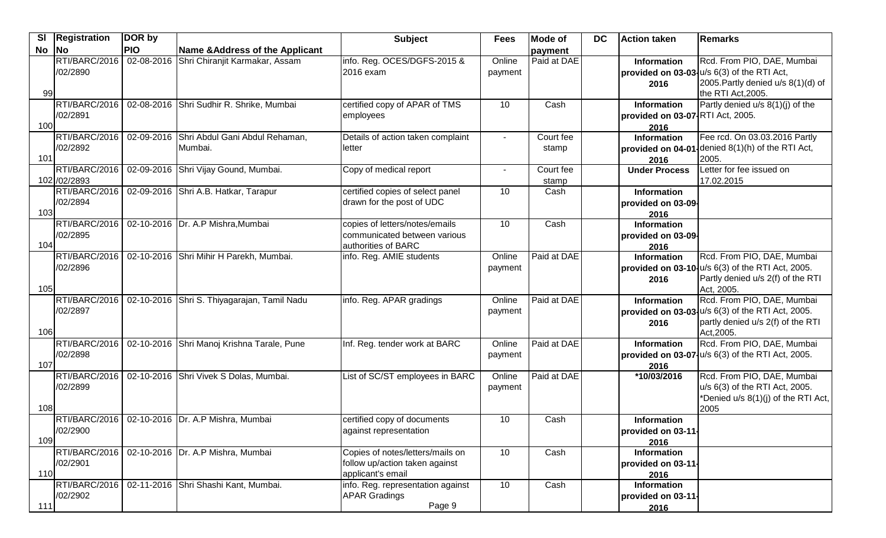| <b>SI</b> | <b>Registration</b>           | DOR by     |                                                      | <b>Subject</b>                                                                          | <b>Fees</b>       | <b>Mode of</b>     | <b>DC</b> | Action taken                                            | <b>IRemarks</b>                                                                                                                        |
|-----------|-------------------------------|------------|------------------------------------------------------|-----------------------------------------------------------------------------------------|-------------------|--------------------|-----------|---------------------------------------------------------|----------------------------------------------------------------------------------------------------------------------------------------|
| No        | No                            | <b>PIO</b> | Name & Address of the Applicant                      |                                                                                         |                   | payment            |           |                                                         |                                                                                                                                        |
| 99        | RTI/BARC/2016<br>/02/2890     | 02-08-2016 | Shri Chiranjit Karmakar, Assam                       | info. Reg. OCES/DGFS-2015 &<br>2016 exam                                                | Online<br>payment | Paid at DAE        |           | Information<br>2016                                     | Rcd. From PIO, DAE, Mumbai<br>provided on 03-03-u/s 6(3) of the RTI Act,<br>2005. Partly denied u/s 8(1)(d) of<br>the RTI Act, 2005.   |
| 100       | RTI/BARC/2016<br>/02/2891     |            | 02-08-2016 Shri Sudhir R. Shrike, Mumbai             | certified copy of APAR of TMS<br>employees                                              | 10                | Cash               |           | Information<br>provided on 03-07 RTI Act, 2005.<br>2016 | Partly denied u/s 8(1)(j) of the                                                                                                       |
| 101       | RTI/BARC/2016<br>/02/2892     |            | 02-09-2016 Shri Abdul Gani Abdul Rehaman,<br>Mumbai. | Details of action taken complaint<br>letter                                             |                   | Court fee<br>stamp |           | <b>Information</b><br>provided on 04-01<br>2016         | Fee rcd. On 03.03.2016 Partly<br>denied 8(1)(h) of the RTI Act,<br>2005.                                                               |
|           | RTI/BARC/2016<br>102 /02/2893 |            | 02-09-2016 Shri Vijay Gound, Mumbai.                 | Copy of medical report                                                                  | $\sim$            | Court fee<br>stamp |           | <b>Under Process</b>                                    | Letter for fee issued on<br>17.02.2015                                                                                                 |
| 103       | RTI/BARC/2016<br>/02/2894     |            | 02-09-2016 Shri A.B. Hatkar, Tarapur                 | certified copies of select panel<br>drawn for the post of UDC                           | 10                | Cash               |           | Information<br>provided on 03-09-<br>2016               |                                                                                                                                        |
| 104       | RTI/BARC/2016<br>/02/2895     |            | 02-10-2016 Dr. A.P Mishra, Mumbai                    | copies of letters/notes/emails<br>communicated between various<br>authorities of BARC   | 10                | Cash               |           | Information<br>provided on 03-09-<br>2016               |                                                                                                                                        |
| 105       | RTI/BARC/2016<br>/02/2896     |            | 02-10-2016 Shri Mihir H Parekh, Mumbai.              | info. Reg. AMIE students                                                                | Online<br>payment | Paid at DAE        |           | <b>Information</b><br>2016                              | Rcd. From PIO, DAE, Mumbai<br>provided on 03-10-u/s 6(3) of the RTI Act, 2005.<br>Partly denied u/s 2(f) of the RTI<br>Act, 2005.      |
| 106       | RTI/BARC/2016<br>/02/2897     |            | 02-10-2016 Shri S. Thiyagarajan, Tamil Nadu          | info. Reg. APAR gradings                                                                | Online<br>payment | Paid at DAE        |           | Information<br>2016                                     | Rcd. From PIO, DAE, Mumbai<br>provided on $03-03\frac{1}{10}$ of the RTI Act, 2005.<br>partly denied u/s 2(f) of the RTI<br>Act, 2005. |
| 107       | RTI/BARC/2016<br>/02/2898     |            | 02-10-2016 Shri Manoj Krishna Tarale, Pune           | Inf. Reg. tender work at BARC                                                           | Online<br>payment | Paid at DAE        |           | Information<br>2016                                     | Rcd. From PIO, DAE, Mumbai<br>provided on 03-07- u/s 6(3) of the RTI Act, 2005.                                                        |
| 108       | RTI/BARC/2016<br>/02/2899     |            | 02-10-2016 Shri Vivek S Dolas, Mumbai.               | List of SC/ST employees in BARC                                                         | Online<br>payment | Paid at DAE        |           | *10/03/2016                                             | Rcd. From PIO, DAE, Mumbai<br>u/s 6(3) of the RTI Act, 2005.<br>*Denied u/s 8(1)(j) of the RTI Act,<br>2005                            |
| 109       | /02/2900                      |            | RTI/BARC/2016   02-10-2016 Dr. A.P Mishra, Mumbai    | certified copy of documents<br>against representation                                   | 10                | Cash               |           | Information<br>provided on 03-11-<br>2016               |                                                                                                                                        |
| 110       | RTI/BARC/2016<br>/02/2901     |            | 02-10-2016 Dr. A.P Mishra, Mumbai                    | Copies of notes/letters/mails on<br>follow up/action taken against<br>applicant's email | 10                | Cash               |           | Information<br>provided on 03-11-<br>2016               |                                                                                                                                        |
| 111       | /02/2902                      |            | RTI/BARC/2016 02-11-2016 Shri Shashi Kant, Mumbai.   | info. Reg. representation against<br><b>APAR Gradings</b><br>Page 9                     | 10                | Cash               |           | <b>Information</b><br>provided on 03-11-<br>2016        |                                                                                                                                        |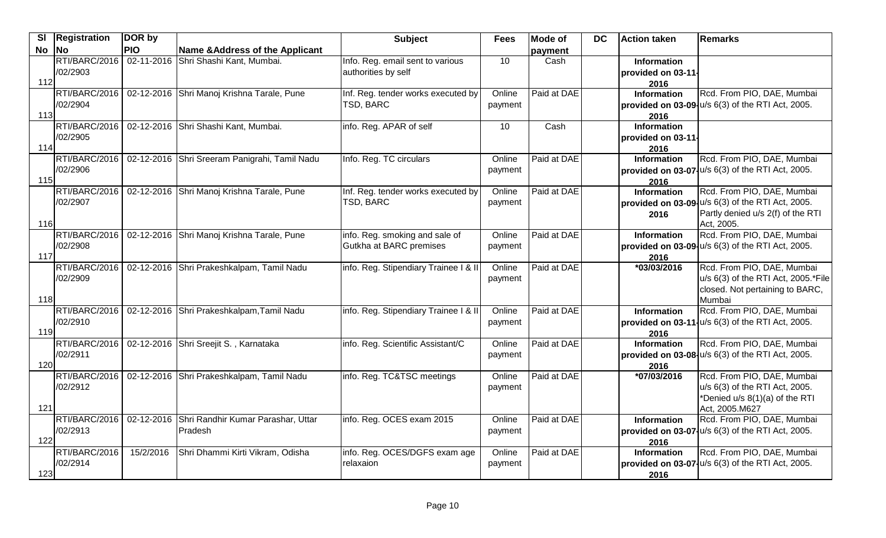| <b>SI</b> | <b>Registration</b> | DOR by     |                                               | <b>Subject</b>                        | <b>Fees</b> | <b>Mode of</b> | DC | <b>Action taken</b>        | Remarks                                                |
|-----------|---------------------|------------|-----------------------------------------------|---------------------------------------|-------------|----------------|----|----------------------------|--------------------------------------------------------|
| <b>No</b> | <b>No</b>           | <b>PIO</b> | Name & Address of the Applicant               |                                       |             | payment        |    |                            |                                                        |
|           | RTI/BARC/2016       |            | 02-11-2016 Shri Shashi Kant, Mumbai.          | Info. Reg. email sent to various      | 10          | Cash           |    | <b>Information</b>         |                                                        |
|           | /02/2903            |            |                                               | authorities by self                   |             |                |    | provided on 03-11-         |                                                        |
| 112       |                     |            |                                               |                                       |             |                |    | 2016                       |                                                        |
|           | RTI/BARC/2016       |            | 02-12-2016 Shri Manoj Krishna Tarale, Pune    | Inf. Reg. tender works executed by    | Online      | Paid at DAE    |    | <b>Information</b>         | Rcd. From PIO, DAE, Mumbai                             |
| 113       | /02/2904            |            |                                               | TSD, BARC                             | payment     |                |    |                            | provided on 03-09-u/s 6(3) of the RTI Act, 2005.       |
|           | RTI/BARC/2016       |            | 02-12-2016 Shri Shashi Kant, Mumbai.          | info. Reg. APAR of self               | 10          | Cash           |    | 2016<br><b>Information</b> |                                                        |
|           | /02/2905            |            |                                               |                                       |             |                |    | provided on 03-11-         |                                                        |
| 114       |                     |            |                                               |                                       |             |                |    | 2016                       |                                                        |
|           | RTI/BARC/2016       |            | 02-12-2016 Shri Sreeram Panigrahi, Tamil Nadu | Info. Reg. TC circulars               | Online      | Paid at DAE    |    | <b>Information</b>         | Rcd. From PIO, DAE, Mumbai                             |
|           | /02/2906            |            |                                               |                                       | payment     |                |    |                            | provided on $03-07$ , $u/s$ 6(3) of the RTI Act, 2005. |
| 115       |                     |            |                                               |                                       |             |                |    | 2016                       |                                                        |
|           | RTI/BARC/2016       |            | 02-12-2016 Shri Manoj Krishna Tarale, Pune    | Inf. Reg. tender works executed by    | Online      | Paid at DAE    |    | <b>Information</b>         | Rcd. From PIO, DAE, Mumbai                             |
|           | /02/2907            |            |                                               | TSD, BARC                             | payment     |                |    |                            | provided on 03-09-u/s 6(3) of the RTI Act, 2005.       |
|           |                     |            |                                               |                                       |             |                |    | 2016                       | Partly denied u/s 2(f) of the RTI                      |
| 116       |                     |            |                                               |                                       |             |                |    |                            | Act, 2005.                                             |
|           | RTI/BARC/2016       |            | 02-12-2016 Shri Manoj Krishna Tarale, Pune    | info. Reg. smoking and sale of        | Online      | Paid at DAE    |    | <b>Information</b>         | Rcd. From PIO, DAE, Mumbai                             |
|           | /02/2908            |            |                                               | Gutkha at BARC premises               | payment     |                |    |                            | provided on 03-09- u/s 6(3) of the RTI Act, 2005.      |
| 117       | RTI/BARC/2016       |            | 02-12-2016 Shri Prakeshkalpam, Tamil Nadu     | info. Reg. Stipendiary Trainee I & II | Online      | Paid at DAE    |    | 2016<br>*03/03/2016        | Rcd. From PIO, DAE, Mumbai                             |
|           | /02/2909            |            |                                               |                                       | payment     |                |    |                            | u/s 6(3) of the RTI Act, 2005.*File                    |
|           |                     |            |                                               |                                       |             |                |    |                            | closed. Not pertaining to BARC,                        |
| 118       |                     |            |                                               |                                       |             |                |    |                            | Mumbai                                                 |
|           | RTI/BARC/2016       |            | 02-12-2016 Shri Prakeshkalpam, Tamil Nadu     | info. Reg. Stipendiary Trainee I & II | Online      | Paid at DAE    |    | Information                | Rcd. From PIO, DAE, Mumbai                             |
|           | /02/2910            |            |                                               |                                       | payment     |                |    |                            | provided on 03-11-u/s 6(3) of the RTI Act, 2005.       |
| 119       |                     |            |                                               |                                       |             |                |    | 2016                       |                                                        |
|           | RTI/BARC/2016       |            | 02-12-2016 Shri Sreejit S., Karnataka         | info. Reg. Scientific Assistant/C     | Online      | Paid at DAE    |    | <b>Information</b>         | Rcd. From PIO, DAE, Mumbai                             |
|           | /02/2911            |            |                                               |                                       | payment     |                |    |                            | provided on 03-08-u/s 6(3) of the RTI Act, 2005.       |
| 120       |                     |            |                                               |                                       |             |                |    | 2016                       |                                                        |
|           | RTI/BARC/2016       |            | 02-12-2016 Shri Prakeshkalpam, Tamil Nadu     | info. Reg. TC&TSC meetings            | Online      | Paid at DAE    |    | $\overline{6}$ 7/03/2016   | Rcd. From PIO, DAE, Mumbai                             |
|           | /02/2912            |            |                                               |                                       | payment     |                |    |                            | u/s 6(3) of the RTI Act, 2005.                         |
|           |                     |            |                                               |                                       |             |                |    |                            | *Denied u/s 8(1)(a) of the RTI                         |
| 121       | RTI/BARC/2016       |            | 02-12-2016 Shri Randhir Kumar Parashar, Uttar | info. Reg. OCES exam 2015             | Online      | Paid at DAE    |    | <b>Information</b>         | Act, 2005.M627<br>Rcd. From PIO, DAE, Mumbai           |
|           | /02/2913            |            | <b>Pradesh</b>                                |                                       | payment     |                |    |                            | provided on 03-07   u/s 6(3) of the RTI Act, 2005.     |
| 122       |                     |            |                                               |                                       |             |                |    | 2016                       |                                                        |
|           | RTI/BARC/2016       | 15/2/2016  | Shri Dhammi Kirti Vikram, Odisha              | info. Reg. OCES/DGFS exam age         | Online      | Paid at DAE    |    | <b>Information</b>         | Rcd. From PIO, DAE, Mumbai                             |
|           | /02/2914            |            |                                               | relaxaion                             | payment     |                |    |                            | provided on 03-07   u/s 6(3) of the RTI Act, 2005.     |
| 123       |                     |            |                                               |                                       |             |                |    | 2016                       |                                                        |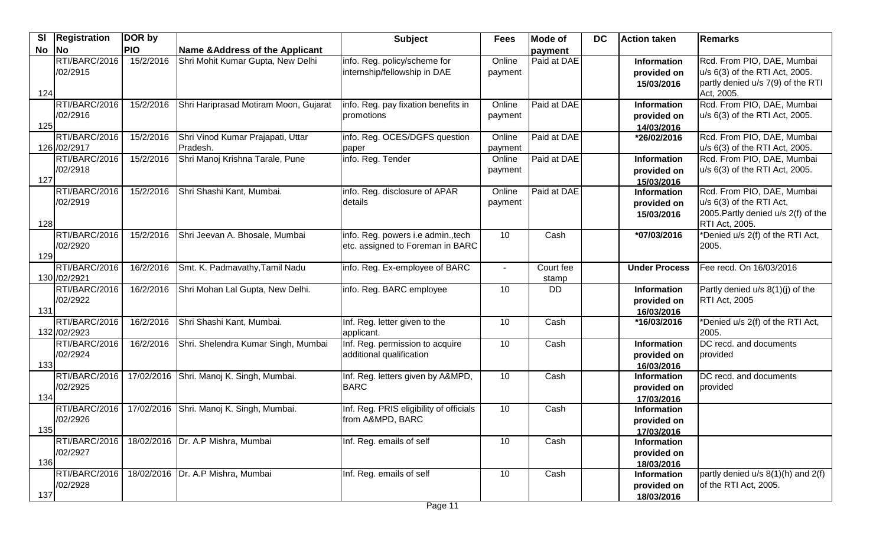|     | SI   Registration             | DOR by     |                                               | <b>Subject</b>                                                         | <b>Fees</b>       | <b>Mode of</b>     | <b>DC</b> | Action taken                                    | Remarks                                                                                                         |
|-----|-------------------------------|------------|-----------------------------------------------|------------------------------------------------------------------------|-------------------|--------------------|-----------|-------------------------------------------------|-----------------------------------------------------------------------------------------------------------------|
| No  | No                            | <b>PIO</b> | <b>Name &amp; Address of the Applicant</b>    |                                                                        |                   | payment            |           |                                                 |                                                                                                                 |
| 124 | RTI/BARC/2016<br>/02/2915     | 15/2/2016  | Shri Mohit Kumar Gupta, New Delhi             | info. Reg. policy/scheme for<br>internship/fellowship in DAE           | Online<br>payment | Paid at DAE        |           | <b>Information</b><br>provided on<br>15/03/2016 | Rcd. From PIO, DAE, Mumbai<br>u/s 6(3) of the RTI Act, 2005.<br>partly denied u/s 7(9) of the RTI<br>Act, 2005. |
| 125 | RTI/BARC/2016<br>/02/2916     | 15/2/2016  | Shri Hariprasad Motiram Moon, Gujarat         | info. Reg. pay fixation benefits in<br>promotions                      | Online<br>payment | Paid at DAE        |           | Information<br>provided on<br>14/03/2016        | Rcd. From PIO, DAE, Mumbai<br>u/s 6(3) of the RTI Act, 2005.                                                    |
|     | RTI/BARC/2016<br>126 /02/2917 | 15/2/2016  | Shri Vinod Kumar Prajapati, Uttar<br>Pradesh. | info. Reg. OCES/DGFS question<br>paper                                 | Online<br>payment | Paid at DAE        |           | *26/02/2016                                     | Rcd. From PIO, DAE, Mumbai<br>u/s 6(3) of the RTI Act, 2005.                                                    |
| 127 | RTI/BARC/2016<br>/02/2918     | 15/2/2016  | Shri Manoj Krishna Tarale, Pune               | info. Reg. Tender                                                      | Online<br>payment | Paid at DAE        |           | <b>Information</b><br>provided on<br>15/03/2016 | Rcd. From PIO, DAE, Mumbai<br>u/s 6(3) of the RTI Act, 2005.                                                    |
| 128 | RTI/BARC/2016<br>/02/2919     | 15/2/2016  | Shri Shashi Kant, Mumbai.                     | info. Reg. disclosure of APAR<br>details                               | Online<br>payment | Paid at DAE        |           | Information<br>provided on<br>15/03/2016        | Rcd. From PIO, DAE, Mumbai<br>u/s 6(3) of the RTI Act,<br>2005. Partly denied u/s 2(f) of the<br>RTI Act, 2005. |
| 129 | RTI/BARC/2016<br>/02/2920     | 15/2/2016  | Shri Jeevan A. Bhosale, Mumbai                | info. Reg. powers i.e admin., tech<br>etc. assigned to Foreman in BARC | 10                | Cash               |           | *07/03/2016                                     | *Denied u/s 2(f) of the RTI Act,<br>2005.                                                                       |
|     | RTI/BARC/2016<br>130 /02/2921 | 16/2/2016  | Smt. K. Padmavathy, Tamil Nadu                | info. Reg. Ex-employee of BARC                                         | $\sim$            | Court fee<br>stamp |           | <b>Under Process</b>                            | Fee recd. On 16/03/2016                                                                                         |
| 131 | RTI/BARC/2016<br>/02/2922     | 16/2/2016  | Shri Mohan Lal Gupta, New Delhi.              | info. Reg. BARC employee                                               | 10                | <b>DD</b>          |           | Information<br>provided on<br>16/03/2016        | Partly denied u/s 8(1)(j) of the<br><b>RTI Act, 2005</b>                                                        |
|     | RTI/BARC/2016<br>132 /02/2923 | 16/2/2016  | Shri Shashi Kant, Mumbai.                     | Inf. Reg. letter given to the<br>applicant.                            | 10                | Cash               |           | *16/03/2016                                     | *Denied u/s 2(f) of the RTI Act,<br>2005.                                                                       |
| 133 | RTI/BARC/2016<br>/02/2924     | 16/2/2016  | Shri. Shelendra Kumar Singh, Mumbai           | Inf. Reg. permission to acquire<br>additional qualification            | 10                | Cash               |           | <b>Information</b><br>provided on<br>16/03/2016 | DC recd. and documents<br>provided                                                                              |
| 134 | RTI/BARC/2016<br>/02/2925     | 17/02/2016 | Shri. Manoj K. Singh, Mumbai.                 | Inf. Reg. letters given by A&MPD,<br><b>BARC</b>                       | 10                | Cash               |           | <b>Information</b><br>provided on<br>17/03/2016 | DC recd. and documents<br>provided                                                                              |
| 135 | RTI/BARC/2016<br>/02/2926     | 17/02/2016 | Shri. Manoj K. Singh, Mumbai.                 | Inf. Reg. PRIS eligibility of officials<br>from A&MPD, BARC            | 10                | Cash               |           | <b>Information</b><br>provided on<br>17/03/2016 |                                                                                                                 |
| 136 | RTI/BARC/2016<br>/02/2927     |            | 18/02/2016   Dr. A.P Mishra, Mumbai           | Inf. Reg. emails of self                                               | 10                | Cash               |           | Information<br>provided on<br>18/03/2016        |                                                                                                                 |
| 137 | RTI/BARC/2016<br>/02/2928     |            | 18/02/2016   Dr. A.P Mishra, Mumbai           | Inf. Reg. emails of self                                               | 10                | Cash               |           | Information<br>provided on<br>18/03/2016        | partly denied u/s 8(1)(h) and 2(f)<br>of the RTI Act, 2005.                                                     |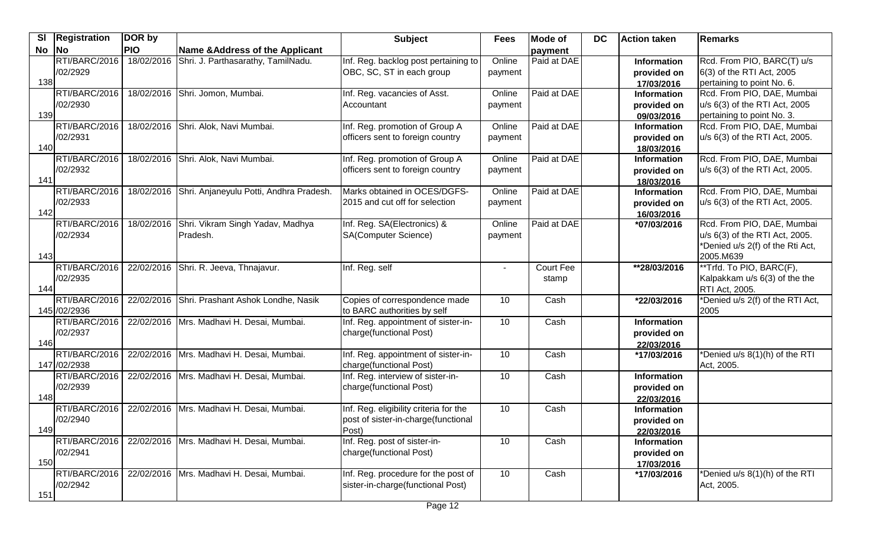|       | SI   Registration | DOR by     |                                             | <b>Subject</b>                         | <b>Fees</b> | <b>Mode of</b> | <b>DC</b> | <b>Action taken</b>              | Remarks                          |
|-------|-------------------|------------|---------------------------------------------|----------------------------------------|-------------|----------------|-----------|----------------------------------|----------------------------------|
| No No |                   | <b>PIO</b> | Name & Address of the Applicant             |                                        |             | payment        |           |                                  |                                  |
|       | RTI/BARC/2016     | 18/02/2016 | Shri. J. Parthasarathy, TamilNadu.          | Inf. Reg. backlog post pertaining to   | Online      | Paid at DAE    |           | Information                      | Rcd. From PIO, BARC(T) u/s       |
|       | /02/2929          |            |                                             | OBC, SC, ST in each group              | payment     |                |           | provided on                      | 6(3) of the RTI Act, 2005        |
| 138   |                   |            |                                             |                                        |             |                |           | 17/03/2016                       | pertaining to point No. 6.       |
|       | RTI/BARC/2016     |            | 18/02/2016 Shri. Jomon, Mumbai.             | Inf. Reg. vacancies of Asst.           | Online      | Paid at DAE    |           | <b>Information</b>               | Rcd. From PIO, DAE, Mumbai       |
|       | /02/2930          |            |                                             | Accountant                             | payment     |                |           | provided on                      | u/s 6(3) of the RTI Act, 2005    |
| 139   |                   |            |                                             |                                        |             |                |           | 09/03/2016                       | pertaining to point No. 3.       |
|       | RTI/BARC/2016     | 18/02/2016 | Shri. Alok, Navi Mumbai.                    | Inf. Reg. promotion of Group A         | Online      | Paid at DAE    |           | Information                      | Rcd. From PIO, DAE, Mumbai       |
|       | /02/2931          |            |                                             | officers sent to foreign country       | payment     |                |           | provided on                      | u/s 6(3) of the RTI Act, 2005.   |
| 140   |                   |            |                                             |                                        |             |                |           | 18/03/2016                       |                                  |
|       | RTI/BARC/2016     | 18/02/2016 | Shri. Alok, Navi Mumbai.                    | Inf. Reg. promotion of Group A         | Online      | Paid at DAE    |           | <b>Information</b>               | Rcd. From PIO, DAE, Mumbai       |
| 141   | /02/2932          |            |                                             | officers sent to foreign country       | payment     |                |           | provided on                      | u/s 6(3) of the RTI Act, 2005.   |
|       | RTI/BARC/2016     | 18/02/2016 | Shri. Anjaneyulu Potti, Andhra Pradesh.     | Marks obtained in OCES/DGFS-           | Online      | Paid at DAE    |           | 18/03/2016<br>Information        | Rcd. From PIO, DAE, Mumbai       |
|       | /02/2933          |            |                                             | 2015 and cut off for selection         | payment     |                |           | provided on                      | u/s 6(3) of the RTI Act, 2005.   |
| 142   |                   |            |                                             |                                        |             |                |           | 16/03/2016                       |                                  |
|       | RTI/BARC/2016     | 18/02/2016 | Shri. Vikram Singh Yadav, Madhya            | Inf. Reg. SA(Electronics) &            | Online      | Paid at DAE    |           | *07/03/2016                      | Rcd. From PIO, DAE, Mumbai       |
|       | /02/2934          |            | Pradesh.                                    | <b>SA(Computer Science)</b>            | payment     |                |           |                                  | u/s 6(3) of the RTI Act, 2005.   |
|       |                   |            |                                             |                                        |             |                |           |                                  | *Denied u/s 2(f) of the Rti Act, |
| 143   |                   |            |                                             |                                        |             |                |           |                                  | 2005.M639                        |
|       | RTI/BARC/2016     |            | 22/02/2016 Shri. R. Jeeva, Thnajavur.       | Inf. Reg. self                         |             | Court Fee      |           | **28/03/2016                     | **Trfd. To PIO, BARC(F),         |
|       | /02/2935          |            |                                             |                                        |             | stamp          |           |                                  | Kalpakkam u/s 6(3) of the the    |
| 144   |                   |            |                                             |                                        |             |                |           |                                  | RTI Act, 2005.                   |
|       | RTI/BARC/2016     | 22/02/2016 | Shri. Prashant Ashok Londhe, Nasik          | Copies of correspondence made          | 10          | Cash           |           | *22/03/2016                      | *Denied u/s 2(f) of the RTI Act, |
|       | 145 /02/2936      |            |                                             | to BARC authorities by self            |             |                |           |                                  | 2005                             |
|       | RTI/BARC/2016     |            | 22/02/2016 Mrs. Madhavi H. Desai, Mumbai.   | Inf. Reg. appointment of sister-in-    | 10          | Cash           |           | Information                      |                                  |
|       | /02/2937          |            |                                             | charge(functional Post)                |             |                |           | provided on                      |                                  |
| 146   |                   |            |                                             |                                        |             |                |           | 22/03/2016                       |                                  |
|       | RTI/BARC/2016     |            | 22/02/2016 Mrs. Madhavi H. Desai, Mumbai.   | Inf. Reg. appointment of sister-in-    | 10          | Cash           |           | *17/03/2016                      | *Denied u/s 8(1)(h) of the RTI   |
|       | 147 / 02/2938     |            |                                             | charge(functional Post)                |             |                |           |                                  | Act, 2005.                       |
|       | RTI/BARC/2016     |            | 22/02/2016   Mrs. Madhavi H. Desai, Mumbai. | Inf. Reg. interview of sister-in-      | 10          | Cash           |           | <b>Information</b>               |                                  |
|       | /02/2939          |            |                                             | charge(functional Post)                |             |                |           | provided on                      |                                  |
| 148   | RTI/BARC/2016     |            | 22/02/2016   Mrs. Madhavi H. Desai, Mumbai. | Inf. Reg. eligibility criteria for the | 10          | Cash           |           | 22/03/2016<br><b>Information</b> |                                  |
|       | /02/2940          |            |                                             | post of sister-in-charge (functional   |             |                |           | provided on                      |                                  |
| 149   |                   |            |                                             | Post)                                  |             |                |           | 22/03/2016                       |                                  |
|       | RTI/BARC/2016     |            | 22/02/2016 Mrs. Madhavi H. Desai, Mumbai.   | Inf. Reg. post of sister-in-           | 10          | Cash           |           | Information                      |                                  |
|       | /02/2941          |            |                                             | charge(functional Post)                |             |                |           | provided on                      |                                  |
| 150   |                   |            |                                             |                                        |             |                |           | 17/03/2016                       |                                  |
|       | RTI/BARC/2016     |            | 22/02/2016   Mrs. Madhavi H. Desai, Mumbai. | Inf. Reg. procedure for the post of    | 10          | Cash           |           | *17/03/2016                      | *Denied u/s 8(1)(h) of the RTI   |
|       | /02/2942          |            |                                             | sister-in-charge(functional Post)      |             |                |           |                                  | Act, 2005.                       |
| 151   |                   |            |                                             |                                        |             |                |           |                                  |                                  |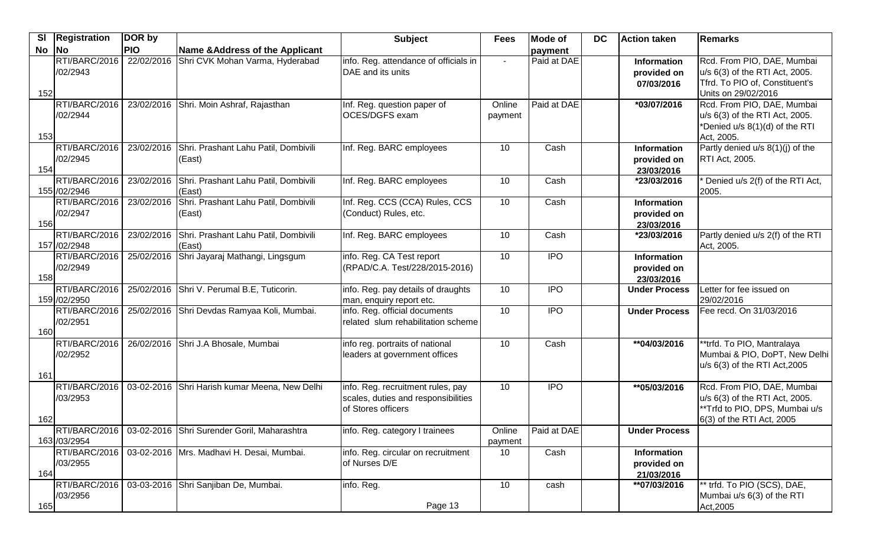| $\overline{\mathbf{s}}$ | <b>Registration</b>           | DOR by     |                                                             | <b>Subject</b>                                                                                 | <b>Fees</b>       | Mode of        | <b>DC</b> | <b>Action taken</b>                             | Remarks                                                                                                                     |
|-------------------------|-------------------------------|------------|-------------------------------------------------------------|------------------------------------------------------------------------------------------------|-------------------|----------------|-----------|-------------------------------------------------|-----------------------------------------------------------------------------------------------------------------------------|
| No                      | <b>No</b>                     | <b>PIO</b> | Name & Address of the Applicant                             |                                                                                                |                   | payment        |           |                                                 |                                                                                                                             |
| 152                     | RTI/BARC/2016<br>/02/2943     | 22/02/2016 | Shri CVK Mohan Varma, Hyderabad                             | info. Reg. attendance of officials in<br>DAE and its units                                     | $\sim$            | Paid at DAE    |           | <b>Information</b><br>provided on<br>07/03/2016 | Rcd. From PIO, DAE, Mumbai<br>u/s 6(3) of the RTI Act, 2005.<br>Tfrd. To PIO of, Constituent's<br>Units on 29/02/2016       |
| 153                     | RTI/BARC/2016<br>/02/2944     |            | 23/02/2016 Shri. Moin Ashraf, Rajasthan                     | Inf. Reg. question paper of<br>OCES/DGFS exam                                                  | Online<br>payment | Paid at DAE    |           | *03/07/2016                                     | Rcd. From PIO, DAE, Mumbai<br>u/s 6(3) of the RTI Act, 2005.<br>*Denied u/s 8(1)(d) of the RTI<br>Act, 2005.                |
| 154                     | RTI/BARC/2016<br>/02/2945     | 23/02/2016 | Shri. Prashant Lahu Patil, Dombivili<br>(East)              | Inf. Reg. BARC employees                                                                       | 10                | Cash           |           | <b>Information</b><br>provided on<br>23/03/2016 | Partly denied u/s 8(1)(j) of the<br><b>RTI Act, 2005.</b>                                                                   |
|                         | RTI/BARC/2016<br>155 /02/2946 | 23/02/2016 | Shri. Prashant Lahu Patil, Dombivili<br>(East)              | Inf. Reg. BARC employees                                                                       | 10                | Cash           |           | *23/03/2016                                     | Denied u/s 2(f) of the RTI Act,<br>2005.                                                                                    |
| 156                     | RTI/BARC/2016<br>/02/2947     | 23/02/2016 | Shri. Prashant Lahu Patil, Dombivili<br>(East)              | Inf. Reg. CCS (CCA) Rules, CCS<br>(Conduct) Rules, etc.                                        | 10                | Cash           |           | Information<br>provided on<br>23/03/2016        |                                                                                                                             |
|                         | RTI/BARC/2016<br>157 /02/2948 | 23/02/2016 | Shri. Prashant Lahu Patil, Dombivili<br>(East)              | Inf. Reg. BARC employees                                                                       | 10                | Cash           |           | *23/03/2016                                     | Partly denied u/s 2(f) of the RTI<br>Act, 2005.                                                                             |
| 158                     | RTI/BARC/2016<br>/02/2949     | 25/02/2016 | Shri Jayaraj Mathangi, Lingsgum                             | info. Reg. CA Test report<br>(RPAD/C.A. Test/228/2015-2016)                                    | 10                | $\overline{1}$ |           | <b>Information</b><br>provided on<br>23/03/2016 |                                                                                                                             |
|                         | RTI/BARC/2016<br>159 /02/2950 |            | 25/02/2016 Shri V. Perumal B.E, Tuticorin.                  | info. Reg. pay details of draughts<br>man, enquiry report etc.                                 | 10                | $\overline{1}$ |           | <b>Under Process</b>                            | Letter for fee issued on<br>29/02/2016                                                                                      |
| 160                     | RTI/BARC/2016<br>/02/2951     | 25/02/2016 | Shri Devdas Ramyaa Koli, Mumbai.                            | info. Reg. official documents<br>related slum rehabilitation scheme                            | 10                | $\overline{1}$ |           | <b>Under Process</b>                            | Fee recd. On 31/03/2016                                                                                                     |
| 161                     | RTI/BARC/2016<br>/02/2952     | 26/02/2016 | Shri J.A Bhosale, Mumbai                                    | info reg. portraits of national<br>leaders at government offices                               | 10                | Cash           |           | **04/03/2016                                    | **trfd. To PIO, Mantralaya<br>Mumbai & PIO, DoPT, New Delhi<br>u/s 6(3) of the RTI Act, 2005                                |
| 162                     | RTI/BARC/2016<br>/03/2953     |            | 03-02-2016 Shri Harish kumar Meena, New Delhi               | info. Reg. recruitment rules, pay<br>scales, duties and responsibilities<br>of Stores officers | 10                | $\overline{1}$ |           | **05/03/2016                                    | Rcd. From PIO, DAE, Mumbai<br>u/s 6(3) of the RTI Act, 2005.<br>**Trfd to PIO, DPS, Mumbai u/s<br>6(3) of the RTI Act, 2005 |
|                         | 163 / 03/2954                 |            | RTI/BARC/2016   03-02-2016 Shri Surender Goril, Maharashtra | info. Reg. category I trainees                                                                 | Online<br>payment | Paid at DAE    |           | <b>Under Process</b>                            |                                                                                                                             |
| 164                     | RTI/BARC/2016<br>/03/2955     |            | 03-02-2016 Mrs. Madhavi H. Desai, Mumbai.                   | info. Reg. circular on recruitment<br>of Nurses D/E                                            | 10                | Cash           |           | Information<br>provided on<br>21/03/2016        |                                                                                                                             |
| 165                     | RTI/BARC/2016<br>/03/2956     |            | 03-03-2016 Shri Sanjiban De, Mumbai.                        | info. Reg.<br>Page 13                                                                          | 10                | cash           |           | **07/03/2016                                    | ** trfd. To PIO (SCS), DAE,<br>Mumbai u/s 6(3) of the RTI<br>Act, 2005                                                      |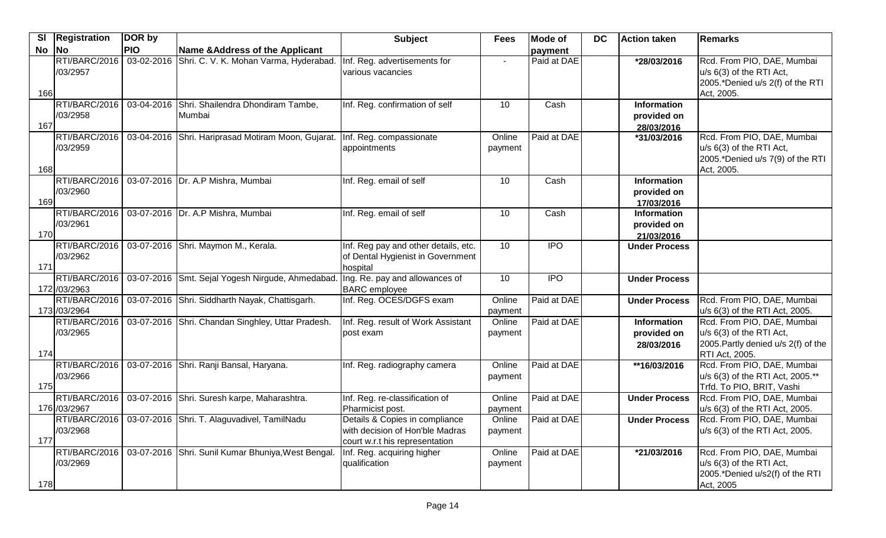| $\overline{\mathsf{SI}}$ | Registration                  | DOR by     |                                                                | <b>Subject</b>                                                                                      | <b>Fees</b>       | <b>Mode of</b>   | <b>DC</b> | <b>Action taken</b>                             | <b>Remarks</b>                                                                                                |
|--------------------------|-------------------------------|------------|----------------------------------------------------------------|-----------------------------------------------------------------------------------------------------|-------------------|------------------|-----------|-------------------------------------------------|---------------------------------------------------------------------------------------------------------------|
| $No$ No                  |                               | <b>PIO</b> | Name & Address of the Applicant                                |                                                                                                     |                   | payment          |           |                                                 |                                                                                                               |
| 166                      | RTI/BARC/2016<br>/03/2957     |            | 03-02-2016 Shri. C. V. K. Mohan Varma, Hyderabad.              | Inf. Reg. advertisements for<br>various vacancies                                                   |                   | Paid at DAE      |           | *28/03/2016                                     | Rcd. From PIO, DAE, Mumbai<br>u/s 6(3) of the RTI Act,<br>2005.*Denied u/s 2(f) of the RTI<br>Act, 2005.      |
| 167                      | RTI/BARC/2016<br>/03/2958     |            | 03-04-2016 Shri. Shailendra Dhondiram Tambe,<br>Mumbai         | Inf. Reg. confirmation of self                                                                      | 10                | Cash             |           | <b>Information</b><br>provided on<br>28/03/2016 |                                                                                                               |
| 168                      | RTI/BARC/2016<br>/03/2959     |            | 03-04-2016 Shri. Hariprasad Motiram Moon, Gujarat.             | Inf. Reg. compassionate<br>appointments                                                             | Online<br>payment | Paid at DAE      |           | *31/03/2016                                     | Rcd. From PIO, DAE, Mumbai<br>u/s 6(3) of the RTI Act,<br>2005.*Denied u/s 7(9) of the RTI<br>Act, 2005.      |
| 169                      | RTI/BARC/2016<br>/03/2960     |            | 03-07-2016 Dr. A.P Mishra, Mumbai                              | Inf. Reg. email of self                                                                             | 10                | Cash             |           | <b>Information</b><br>provided on<br>17/03/2016 |                                                                                                               |
| 170                      | RTI/BARC/2016<br>/03/2961     |            | 03-07-2016 Dr. A.P Mishra, Mumbai                              | Inf. Reg. email of self                                                                             | 10                | Cash             |           | <b>Information</b><br>provided on<br>21/03/2016 |                                                                                                               |
| 171                      | RTI/BARC/2016<br>/03/2962     |            | 03-07-2016 Shri. Maymon M., Kerala.                            | Inf. Reg pay and other details, etc.<br>of Dental Hygienist in Government<br>hospital               | 10                | <b>IPO</b>       |           | <b>Under Process</b>                            |                                                                                                               |
|                          | RTI/BARC/2016<br>172 /03/2963 |            | 03-07-2016 Smt. Sejal Yogesh Nirgude, Ahmedabad.               | Ing. Re. pay and allowances of<br><b>BARC</b> employee                                              | 10                | $\overline{IPO}$ |           | <b>Under Process</b>                            |                                                                                                               |
|                          | 173 /03/2964                  |            | RTI/BARC/2016   03-07-2016 Shri. Siddharth Nayak, Chattisgarh. | Inf. Reg. OCES/DGFS exam                                                                            | Online<br>payment | Paid at DAE      |           | <b>Under Process</b>                            | Rcd. From PIO, DAE, Mumbai<br>u/s 6(3) of the RTI Act, 2005.                                                  |
|                          | RTI/BARC/2016<br>/03/2965     |            | 03-07-2016 Shri. Chandan Singhley, Uttar Pradesh.              | Inf. Reg. result of Work Assistant<br>post exam                                                     | Online<br>payment | Paid at DAE      |           | <b>Information</b><br>provided on<br>28/03/2016 | Rcd. From PIO, DAE, Mumbai<br>u/s 6(3) of the RTI Act,<br>2005. Partly denied u/s 2(f) of the                 |
| 174<br>175               | RTI/BARC/2016<br>/03/2966     |            | 03-07-2016 Shri. Ranji Bansal, Haryana.                        | Inf. Reg. radiography camera                                                                        | Online<br>payment | Paid at DAE      |           | **16/03/2016                                    | RTI Act, 2005.<br>Rcd. From PIO, DAE, Mumbai<br>u/s 6(3) of the RTI Act, 2005.**<br>Trfd. To PIO, BRIT, Vashi |
|                          | RTI/BARC/2016<br>176 /03/2967 |            | 03-07-2016 Shri. Suresh karpe, Maharashtra.                    | Inf. Reg. re-classification of<br>Pharmicist post.                                                  | Online<br>payment | Paid at DAE      |           | <b>Under Process</b>                            | Rcd. From PIO, DAE, Mumbai<br>u/s 6(3) of the RTI Act, 2005.                                                  |
| 177                      | RTI/BARC/2016<br>/03/2968     |            | 03-07-2016 Shri. T. Alaguvadivel, TamilNadu                    | Details & Copies in compliance<br>with decision of Hon'ble Madras<br>court w.r.t his representation | Online<br>payment | Paid at DAE      |           | <b>Under Process</b>                            | Rcd. From PIO, DAE, Mumbai<br>u/s 6(3) of the RTI Act, 2005.                                                  |
| 178                      | RTI/BARC/2016<br>/03/2969     |            | 03-07-2016 Shri. Sunil Kumar Bhuniya, West Bengal.             | Inf. Reg. acquiring higher<br>qualification                                                         | Online<br>payment | Paid at DAE      |           | *21/03/2016                                     | Rcd. From PIO, DAE, Mumbai<br>u/s 6(3) of the RTI Act,<br>2005.*Denied u/s2(f) of the RTI<br>Act, 2005        |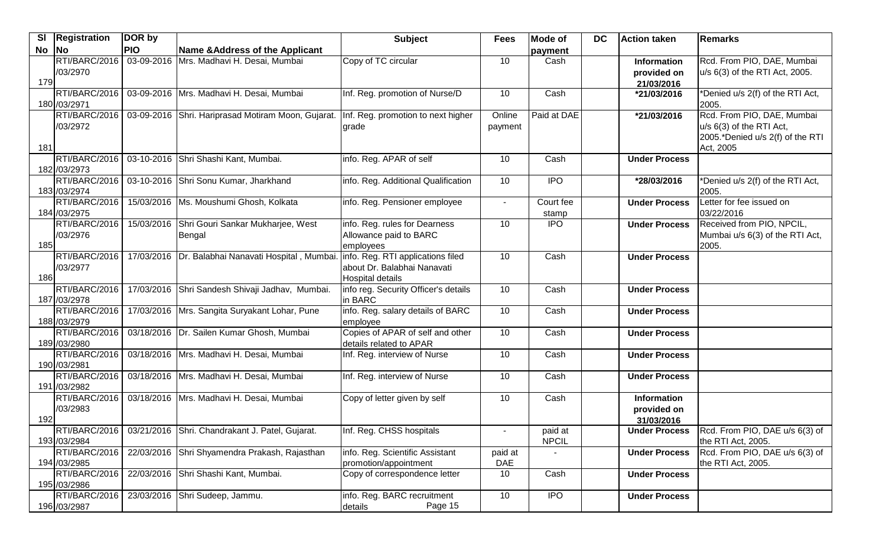| $\overline{\mathbf{s}}$ | Registration             | DOR by     |                                                                                        | <b>Subject</b>                                                  | <b>Fees</b>              | <b>Mode of</b> | <b>DC</b> | <b>Action taken</b>  | Remarks                                       |
|-------------------------|--------------------------|------------|----------------------------------------------------------------------------------------|-----------------------------------------------------------------|--------------------------|----------------|-----------|----------------------|-----------------------------------------------|
| No                      | $\overline{\mathsf{No}}$ | <b>PIO</b> | Name & Address of the Applicant                                                        |                                                                 |                          | payment        |           |                      |                                               |
|                         | RTI/BARC/2016            |            | 03-09-2016 Mrs. Madhavi H. Desai, Mumbai                                               | Copy of TC circular                                             | 10                       | Cash           |           | Information          | Rcd. From PIO, DAE, Mumbai                    |
|                         | /03/2970                 |            |                                                                                        |                                                                 |                          |                |           | provided on          | u/s 6(3) of the RTI Act, 2005.                |
| 179                     |                          |            |                                                                                        |                                                                 |                          |                |           | 21/03/2016           |                                               |
|                         | RTI/BARC/2016            |            | 03-09-2016   Mrs. Madhavi H. Desai, Mumbai                                             | Inf. Reg. promotion of Nurse/D                                  | 10                       | Cash           |           | *21/03/2016          | *Denied u/s 2(f) of the RTI Act,              |
|                         | 180 / 03/2971            |            |                                                                                        |                                                                 |                          |                |           |                      | 2005.                                         |
|                         | RTI/BARC/2016            |            | 03-09-2016 Shri. Hariprasad Motiram Moon, Gujarat.                                     | Inf. Reg. promotion to next higher                              | Online                   | Paid at DAE    |           | *21/03/2016          | Rcd. From PIO, DAE, Mumbai                    |
|                         | /03/2972                 |            |                                                                                        | grade                                                           | payment                  |                |           |                      | u/s 6(3) of the RTI Act,                      |
| 181                     |                          |            |                                                                                        |                                                                 |                          |                |           |                      | 2005.*Denied u/s 2(f) of the RTI<br>Act, 2005 |
|                         | RTI/BARC/2016            |            | 03-10-2016 Shri Shashi Kant, Mumbai.                                                   | info. Reg. APAR of self                                         | 10                       | Cash           |           | <b>Under Process</b> |                                               |
|                         | 182 / 03/2973            |            |                                                                                        |                                                                 |                          |                |           |                      |                                               |
|                         | RTI/BARC/2016            |            | 03-10-2016 Shri Sonu Kumar, Jharkhand                                                  | info. Reg. Additional Qualification                             | 10                       | <b>IPO</b>     |           | *28/03/2016          | *Denied u/s 2(f) of the RTI Act,              |
|                         | 183 /03/2974             |            |                                                                                        |                                                                 |                          |                |           |                      | 2005.                                         |
|                         | RTI/BARC/2016            |            | 15/03/2016   Ms. Moushumi Ghosh, Kolkata                                               | info. Reg. Pensioner employee                                   | $\blacksquare$           | Court fee      |           | <b>Under Process</b> | Letter for fee issued on                      |
|                         | 184 /03/2975             |            |                                                                                        |                                                                 |                          | stamp          |           |                      | 03/22/2016                                    |
|                         | RTI/BARC/2016            | 15/03/2016 | Shri Gouri Sankar Mukharjee, West                                                      | info. Reg. rules for Dearness                                   | 10                       | $\overline{1}$ |           | <b>Under Process</b> | Received from PIO, NPCIL,                     |
|                         | /03/2976                 |            | Bengal                                                                                 | Allowance paid to BARC                                          |                          |                |           |                      | Mumbai u/s 6(3) of the RTI Act,               |
| 185                     |                          |            |                                                                                        | employees                                                       |                          |                |           |                      | 2005.                                         |
|                         | RTI/BARC/2016            |            | 17/03/2016   Dr. Balabhai Nanavati Hospital, Mumbai. info. Reg. RTI applications filed |                                                                 | 10                       | Cash           |           | <b>Under Process</b> |                                               |
|                         | /03/2977                 |            |                                                                                        | about Dr. Balabhai Nanavati                                     |                          |                |           |                      |                                               |
| 186                     | RTI/BARC/2016            |            | 17/03/2016 Shri Sandesh Shivaji Jadhav, Mumbai.                                        | <b>Hospital details</b><br>info reg. Security Officer's details | 10                       | Cash           |           | <b>Under Process</b> |                                               |
|                         | 187 /03/2978             |            |                                                                                        | in BARC                                                         |                          |                |           |                      |                                               |
|                         | RTI/BARC/2016            |            | 17/03/2016 Mrs. Sangita Suryakant Lohar, Pune                                          | info. Reg. salary details of BARC                               | 10                       | Cash           |           | <b>Under Process</b> |                                               |
|                         | 188 / 03/2979            |            |                                                                                        | employee                                                        |                          |                |           |                      |                                               |
|                         | RTI/BARC/2016            |            | 03/18/2016   Dr. Sailen Kumar Ghosh, Mumbai                                            | Copies of APAR of self and other                                | 10                       | Cash           |           | <b>Under Process</b> |                                               |
|                         | 189 /03/2980             |            |                                                                                        | details related to APAR                                         |                          |                |           |                      |                                               |
|                         | RTI/BARC/2016            |            | 03/18/2016   Mrs. Madhavi H. Desai, Mumbai                                             | Inf. Reg. interview of Nurse                                    | 10                       | Cash           |           | <b>Under Process</b> |                                               |
|                         | 190 / 03/2981            |            |                                                                                        |                                                                 |                          |                |           |                      |                                               |
|                         | RTI/BARC/2016            |            | 03/18/2016 Mrs. Madhavi H. Desai, Mumbai                                               | Inf. Reg. interview of Nurse                                    | 10                       | Cash           |           | <b>Under Process</b> |                                               |
|                         | 191 /03/2982             |            |                                                                                        |                                                                 |                          |                |           |                      |                                               |
|                         | RTI/BARC/2016            |            | 03/18/2016 Mrs. Madhavi H. Desai, Mumbai                                               | Copy of letter given by self                                    | 10                       | Cash           |           | Information          |                                               |
|                         | /03/2983                 |            |                                                                                        |                                                                 |                          |                |           | provided on          |                                               |
| 192                     |                          |            |                                                                                        |                                                                 |                          |                |           | 31/03/2016           |                                               |
|                         | RTI/BARC/2016            |            | 03/21/2016 Shri. Chandrakant J. Patel, Gujarat.                                        | Inf. Reg. CHSS hospitals                                        | $\overline{\phantom{a}}$ | paid at        |           | <b>Under Process</b> | Rcd. From PIO, DAE u/s 6(3) of                |
|                         | 193 /03/2984             |            |                                                                                        |                                                                 |                          | <b>NPCIL</b>   |           |                      | the RTI Act, 2005.                            |
|                         | RTI/BARC/2016            |            | 22/03/2016 Shri Shyamendra Prakash, Rajasthan                                          | info. Reg. Scientific Assistant                                 | paid at                  |                |           | <b>Under Process</b> | Rcd. From PIO, DAE u/s 6(3) of                |
|                         | 194 /03/2985             |            |                                                                                        | promotion/appointment                                           | DAE                      |                |           |                      | the RTI Act, 2005.                            |
|                         | RTI/BARC/2016            |            | 22/03/2016 Shri Shashi Kant, Mumbai.                                                   | Copy of correspondence letter                                   | 10                       | Cash           |           | <b>Under Process</b> |                                               |
|                         | 195 / 03/2986            |            |                                                                                        |                                                                 |                          |                |           |                      |                                               |
|                         | RTI/BARC/2016            | 23/03/2016 | Shri Sudeep, Jammu.                                                                    | info. Reg. BARC recruitment                                     | 10                       | <b>IPO</b>     |           | <b>Under Process</b> |                                               |
|                         | 196 / 03/2987            |            |                                                                                        | Page 15<br>details                                              |                          |                |           |                      |                                               |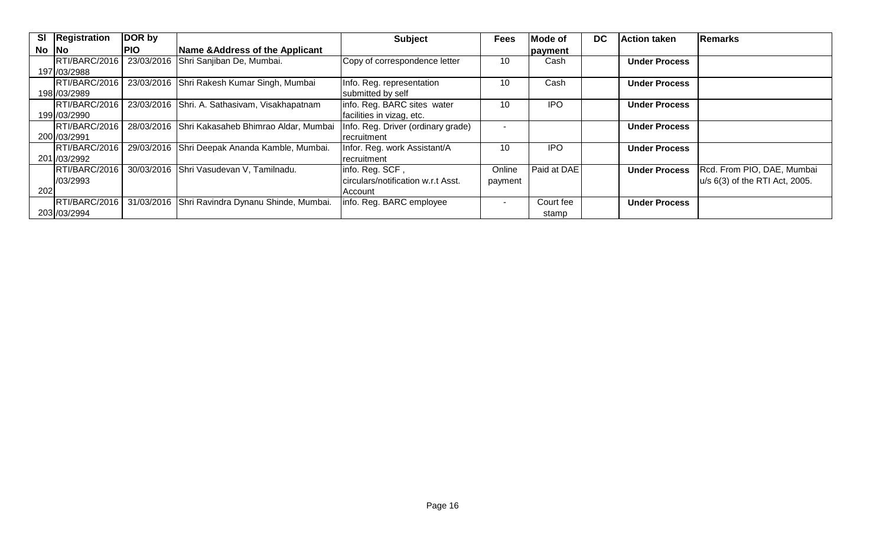| <b>SI</b> | Registration  | DOR by     |                                                 | <b>Subject</b>                     | <b>Fees</b>              | Mode of     | <b>DC</b> | <b>Action taken</b>  | Remarks                        |
|-----------|---------------|------------|-------------------------------------------------|------------------------------------|--------------------------|-------------|-----------|----------------------|--------------------------------|
| $No$ $No$ |               | <b>PIO</b> | Name & Address of the Applicant                 |                                    |                          | payment     |           |                      |                                |
|           | RTI/BARC/2016 |            | 23/03/2016 Shri Sanjiban De, Mumbai.            | Copy of correspondence letter      | 10                       | Cash        |           | <b>Under Process</b> |                                |
|           | 197 / 03/2988 |            |                                                 |                                    |                          |             |           |                      |                                |
|           | RTI/BARC/2016 |            | 23/03/2016 Shri Rakesh Kumar Singh, Mumbai      | Info. Reg. representation          | 10                       | Cash        |           | <b>Under Process</b> |                                |
|           | 198 / 03/2989 |            |                                                 | submitted by self                  |                          |             |           |                      |                                |
|           | RTI/BARC/2016 |            | 23/03/2016 Shri. A. Sathasivam, Visakhapatnam   | info. Reg. BARC sites water        | 10                       | <b>IPO</b>  |           | <b>Under Process</b> |                                |
|           | 199 / 03/2990 |            |                                                 | facilities in vizag, etc.          |                          |             |           |                      |                                |
|           | RTI/BARC/2016 |            | 28/03/2016 Shri Kakasaheb Bhimrao Aldar, Mumbai | Info. Reg. Driver (ordinary grade) |                          |             |           | <b>Under Process</b> |                                |
|           | 200 / 03/2991 |            |                                                 | recruitment                        |                          |             |           |                      |                                |
|           | RTI/BARC/2016 |            | 29/03/2016 Shri Deepak Ananda Kamble, Mumbai.   | Infor. Reg. work Assistant/A       | 10                       | <b>IPO</b>  |           | <b>Under Process</b> |                                |
|           | 201 /03/2992  |            |                                                 | recruitment                        |                          |             |           |                      |                                |
|           | RTI/BARC/2016 |            | 30/03/2016 Shri Vasudevan V, Tamilnadu.         | info. Reg. SCF,                    | Online                   | Paid at DAE |           | <b>Under Process</b> | Rcd. From PIO, DAE, Mumbai     |
|           | 1/03/2993     |            |                                                 | circulars/notification w.r.t Asst. | payment                  |             |           |                      | u/s 6(3) of the RTI Act, 2005. |
| 202       |               |            |                                                 | Account                            |                          |             |           |                      |                                |
|           | RTI/BARC/2016 |            | 31/03/2016 Shri Ravindra Dynanu Shinde, Mumbai. | info. Reg. BARC employee           | $\overline{\phantom{0}}$ | Court fee   |           | <b>Under Process</b> |                                |
|           | 203 / 03/2994 |            |                                                 |                                    |                          | stamp       |           |                      |                                |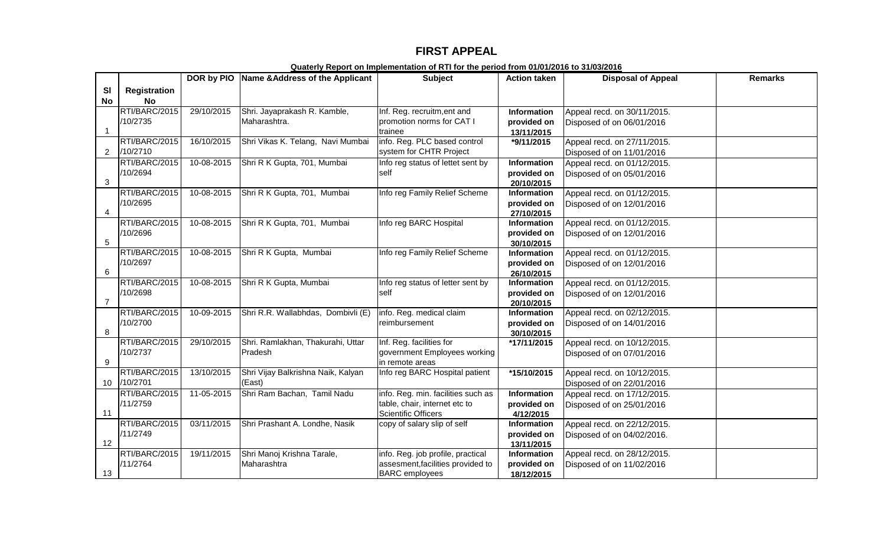## **FIRST APPEAL**

|                |                     |            | DOR by PIO Name & Address of the Applicant | <b>Subject</b>                     | <b>Action taken</b>       | <b>Disposal of Appeal</b>   | <b>Remarks</b> |
|----------------|---------------------|------------|--------------------------------------------|------------------------------------|---------------------------|-----------------------------|----------------|
| SI             | <b>Registration</b> |            |                                            |                                    |                           |                             |                |
| No             | No                  |            |                                            |                                    |                           |                             |                |
|                | RTI/BARC/2015       | 29/10/2015 | Shri. Jayaprakash R. Kamble,               | Inf. Reg. recruitm, ent and        | <b>Information</b>        | Appeal recd. on 30/11/2015. |                |
|                | /10/2735            |            | Maharashtra.                               | promotion norms for CAT I          | provided on               | Disposed of on 06/01/2016   |                |
| -1             |                     |            |                                            | trainee                            | 13/11/2015                |                             |                |
|                | RTI/BARC/2015       | 16/10/2015 | Shri Vikas K. Telang, Navi Mumbai          | info. Reg. PLC based control       | *9/11/2015                | Appeal recd. on 27/11/2015. |                |
| $\overline{2}$ | /10/2710            |            |                                            | system for CHTR Project            |                           | Disposed of on 11/01/2016   |                |
|                | RTI/BARC/2015       | 10-08-2015 | Shri R K Gupta, 701, Mumbai                | Info reg status of lettet sent by  | <b>Information</b>        | Appeal recd. on 01/12/2015. |                |
|                | /10/2694            |            |                                            | self                               | provided on               | Disposed of on 05/01/2016   |                |
| 3              |                     |            |                                            |                                    | 20/10/2015                |                             |                |
|                | RTI/BARC/2015       | 10-08-2015 | Shri R K Gupta, 701, Mumbai                | Info reg Family Relief Scheme      | Information               | Appeal recd. on 01/12/2015. |                |
|                | /10/2695            |            |                                            |                                    | provided on               | Disposed of on 12/01/2016   |                |
| 4              |                     |            |                                            |                                    | 27/10/2015                |                             |                |
|                | RTI/BARC/2015       | 10-08-2015 | Shri R K Gupta, 701, Mumbai                | Info reg BARC Hospital             | Information               | Appeal recd. on 01/12/2015. |                |
| 5              | /10/2696            |            |                                            |                                    | provided on               | Disposed of on 12/01/2016   |                |
|                | RTI/BARC/2015       | 10-08-2015 | Shri R K Gupta, Mumbai                     | Info reg Family Relief Scheme      | 30/10/2015<br>Information |                             |                |
|                | /10/2697            |            |                                            |                                    |                           | Appeal recd. on 01/12/2015. |                |
| 6              |                     |            |                                            |                                    | provided on<br>26/10/2015 | Disposed of on 12/01/2016   |                |
|                | RTI/BARC/2015       | 10-08-2015 | Shri R K Gupta, Mumbai                     | Info reg status of letter sent by  | Information               | Appeal recd. on 01/12/2015. |                |
|                | /10/2698            |            |                                            | self                               | provided on               | Disposed of on 12/01/2016   |                |
| $\overline{7}$ |                     |            |                                            |                                    | 20/10/2015                |                             |                |
|                | RTI/BARC/2015       | 10-09-2015 | Shri R.R. Wallabhdas, Dombivli (E)         | info. Reg. medical claim           | Information               | Appeal recd. on 02/12/2015. |                |
|                | /10/2700            |            |                                            | reimbursement                      | provided on               | Disposed of on 14/01/2016   |                |
| 8              |                     |            |                                            |                                    | 30/10/2015                |                             |                |
|                | RTI/BARC/2015       | 29/10/2015 | Shri. Ramlakhan, Thakurahi, Uttar          | Inf. Reg. facilities for           | *17/11/2015               | Appeal recd. on 10/12/2015. |                |
|                | /10/2737            |            | Pradesh                                    | government Employees working       |                           | Disposed of on 07/01/2016   |                |
| 9              |                     |            |                                            | in remote areas                    |                           |                             |                |
|                | RTI/BARC/2015       | 13/10/2015 | Shri Vijay Balkrishna Naik, Kalyan         | Info reg BARC Hospital patient     | *15/10/2015               | Appeal recd. on 10/12/2015. |                |
| 10             | /10/2701            |            | (East)                                     |                                    |                           | Disposed of on 22/01/2016   |                |
|                | RTI/BARC/2015       | 11-05-2015 | Shri Ram Bachan, Tamil Nadu                | info. Reg. min. facilities such as | Information               | Appeal recd. on 17/12/2015. |                |
|                | /11/2759            |            |                                            | table, chair, internet etc to      | provided on               | Disposed of on 25/01/2016   |                |
| 11             |                     |            |                                            | Scientific Officers                | 4/12/2015                 |                             |                |
|                | RTI/BARC/2015       | 03/11/2015 | Shri Prashant A. Londhe, Nasik             | copy of salary slip of self        | Information               | Appeal recd. on 22/12/2015. |                |
|                | /11/2749            |            |                                            |                                    | provided on               | Disposed of on 04/02/2016.  |                |
| 12             | RTI/BARC/2015       |            |                                            |                                    | 13/11/2015                |                             |                |
|                | /11/2764            | 19/11/2015 | Shri Manoj Krishna Tarale,                 | info. Reg. job profile, practical  | <b>Information</b>        | Appeal recd. on 28/12/2015. |                |
| 13             |                     |            | Maharashtra                                | assesment, facilities provided to  | provided on               | Disposed of on 11/02/2016   |                |
|                |                     |            |                                            | <b>BARC</b> employees              | 18/12/2015                |                             |                |

**Quaterly Report on Implementation of RTI for the period from 01/01/2016 to 31/03/2016**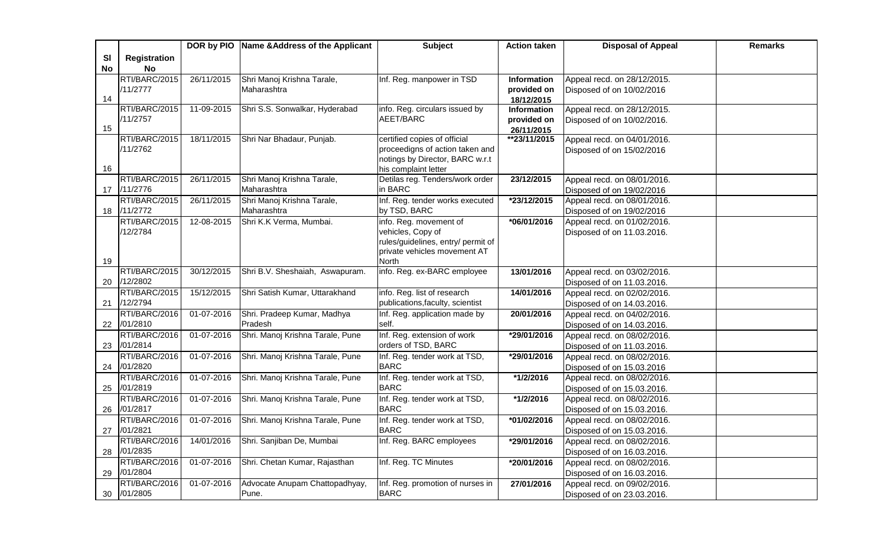|    |                     |            | DOR by PIO   Name & Address of the Applicant | <b>Subject</b>                              | <b>Action taken</b>        | <b>Disposal of Appeal</b>                                 | <b>Remarks</b> |
|----|---------------------|------------|----------------------------------------------|---------------------------------------------|----------------------------|-----------------------------------------------------------|----------------|
| SI | <b>Registration</b> |            |                                              |                                             |                            |                                                           |                |
| No | <b>No</b>           |            |                                              |                                             |                            |                                                           |                |
|    | RTI/BARC/2015       | 26/11/2015 | Shri Manoj Krishna Tarale,                   | Inf. Reg. manpower in TSD                   | Information                | Appeal recd. on 28/12/2015.                               |                |
|    | /11/2777            |            | Maharashtra                                  |                                             | provided on                | Disposed of on 10/02/2016                                 |                |
| 14 |                     |            |                                              |                                             | 18/12/2015                 |                                                           |                |
|    | RTI/BARC/2015       | 11-09-2015 | Shri S.S. Sonwalkar, Hyderabad               | info. Reg. circulars issued by              | Information                | Appeal recd. on 28/12/2015.                               |                |
|    | /11/2757            |            |                                              | AEET/BARC                                   | provided on                | Disposed of on 10/02/2016.                                |                |
| 15 | RTI/BARC/2015       | 18/11/2015 | Shri Nar Bhadaur, Punjab.                    | certified copies of official                | 26/11/2015<br>**23/11/2015 | Appeal recd. on 04/01/2016.                               |                |
|    | /11/2762            |            |                                              | proceedigns of action taken and             |                            |                                                           |                |
|    |                     |            |                                              | notings by Director, BARC w.r.t             |                            | Disposed of on 15/02/2016                                 |                |
| 16 |                     |            |                                              | his complaint letter                        |                            |                                                           |                |
|    | RTI/BARC/2015       | 26/11/2015 | Shri Manoj Krishna Tarale,                   | Detilas reg. Tenders/work order             | 23/12/2015                 | Appeal recd. on 08/01/2016.                               |                |
|    | 17 /11/2776         |            | Maharashtra                                  | in BARC                                     |                            | Disposed of on 19/02/2016                                 |                |
|    | RTI/BARC/2015       | 26/11/2015 | Shri Manoj Krishna Tarale,                   | Inf. Reg. tender works executed             | *23/12/2015                | Appeal recd. on 08/01/2016.                               |                |
| 18 | /11/2772            |            | Maharashtra                                  | by TSD, BARC                                |                            | Disposed of on 19/02/2016                                 |                |
|    | RTI/BARC/2015       | 12-08-2015 | Shri K.K Verma, Mumbai.                      | info. Reg. movement of                      | *06/01/2016                | Appeal recd. on 01/02/2016.                               |                |
|    | /12/2784            |            |                                              | vehicles, Copy of                           |                            | Disposed of on 11.03.2016.                                |                |
|    |                     |            |                                              | rules/guidelines, entry/ permit of          |                            |                                                           |                |
|    |                     |            |                                              | private vehicles movement AT                |                            |                                                           |                |
| 19 | RTI/BARC/2015       |            |                                              | <b>North</b><br>info. Reg. ex-BARC employee | 13/01/2016                 |                                                           |                |
| 20 | /12/2802            | 30/12/2015 | Shri B.V. Sheshaiah, Aswapuram.              |                                             |                            | Appeal recd. on 03/02/2016.                               |                |
|    | RTI/BARC/2015       | 15/12/2015 | Shri Satish Kumar, Uttarakhand               | info. Reg. list of research                 | 14/01/2016                 | Disposed of on 11.03.2016.<br>Appeal recd. on 02/02/2016. |                |
| 21 | /12/2794            |            |                                              | publications, faculty, scientist            |                            | Disposed of on 14.03.2016.                                |                |
|    | RTI/BARC/2016       | 01-07-2016 | Shri. Pradeep Kumar, Madhya                  | Inf. Reg. application made by               | 20/01/2016                 | Appeal recd. on 04/02/2016.                               |                |
| 22 | /01/2810            |            | Pradesh                                      | self.                                       |                            | Disposed of on 14.03.2016.                                |                |
|    | RTI/BARC/2016       | 01-07-2016 | Shri. Manoj Krishna Tarale, Pune             | Inf. Reg. extension of work                 | *29/01/2016                | Appeal recd. on 08/02/2016.                               |                |
| 23 | /01/2814            |            |                                              | orders of TSD, BARC                         |                            | Disposed of on 11.03.2016.                                |                |
|    | RTI/BARC/2016       | 01-07-2016 | Shri. Manoj Krishna Tarale, Pune             | Inf. Reg. tender work at TSD,               | *29/01/2016                | Appeal recd. on 08/02/2016.                               |                |
|    | 24 /01/2820         |            |                                              | <b>BARC</b>                                 |                            | Disposed of on 15.03.2016                                 |                |
|    | RTI/BARC/2016       | 01-07-2016 | Shri. Manoj Krishna Tarale, Pune             | Inf. Reg. tender work at TSD,               | $*1/2/2016$                | Appeal recd. on 08/02/2016.                               |                |
| 25 | /01/2819            |            |                                              | <b>BARC</b>                                 |                            | Disposed of on 15.03.2016.                                |                |
|    | RTI/BARC/2016       | 01-07-2016 | Shri. Manoj Krishna Tarale, Pune             | Inf. Reg. tender work at TSD,               | *1/2/2016                  | Appeal recd. on 08/02/2016.                               |                |
| 26 | /01/2817            |            |                                              | <b>BARC</b>                                 |                            | Disposed of on 15.03.2016.                                |                |
|    | RTI/BARC/2016       | 01-07-2016 | Shri. Manoj Krishna Tarale, Pune             | Inf. Reg. tender work at TSD,               | *01/02/2016                | Appeal recd. on 08/02/2016.                               |                |
| 27 | /01/2821            |            |                                              | <b>BARC</b>                                 |                            | Disposed of on 15.03.2016.                                |                |
|    | RTI/BARC/2016       | 14/01/2016 | Shri. Sanjiban De, Mumbai                    | Inf. Reg. BARC employees                    | *29/01/2016                | Appeal recd. on 08/02/2016.                               |                |
| 28 | /01/2835            |            |                                              |                                             |                            | Disposed of on 16.03.2016.                                |                |
|    | RTI/BARC/2016       | 01-07-2016 | Shri. Chetan Kumar, Rajasthan                | Inf. Reg. TC Minutes                        | *20/01/2016                | Appeal recd. on 08/02/2016.                               |                |
| 29 | /01/2804            |            |                                              |                                             |                            | Disposed of on 16.03.2016.                                |                |
|    | RTI/BARC/2016       | 01-07-2016 | Advocate Anupam Chattopadhyay,               | Inf. Reg. promotion of nurses in            | 27/01/2016                 | Appeal recd. on 09/02/2016.                               |                |
| 30 | /01/2805            |            | Pune.                                        | <b>BARC</b>                                 |                            | Disposed of on 23.03.2016.                                |                |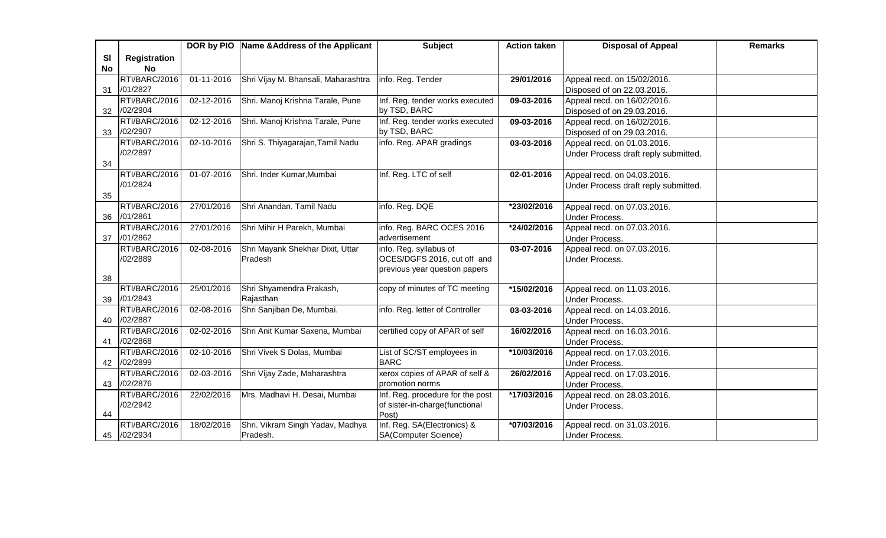|           |                     |                  | DOR by PIO   Name & Address of the Applicant | <b>Subject</b>                   | <b>Action taken</b> | <b>Disposal of Appeal</b>                     | <b>Remarks</b> |
|-----------|---------------------|------------------|----------------------------------------------|----------------------------------|---------------------|-----------------------------------------------|----------------|
| SI        | <b>Registration</b> |                  |                                              |                                  |                     |                                               |                |
| <b>No</b> | No                  |                  |                                              |                                  |                     |                                               |                |
|           | RTI/BARC/2016       | $01 - 11 - 2016$ | Shri Vijay M. Bhansali, Maharashtra          | info. Reg. Tender                | 29/01/2016          | Appeal recd. on 15/02/2016.                   |                |
| 31        | /01/2827            |                  |                                              |                                  |                     | Disposed of on 22.03.2016.                    |                |
|           | RTI/BARC/2016       | 02-12-2016       | Shri. Manoj Krishna Tarale, Pune             | Inf. Reg. tender works executed  | 09-03-2016          | Appeal recd. on 16/02/2016.                   |                |
| 32        | /02/2904            |                  |                                              | by TSD, BARC                     |                     | Disposed of on 29.03.2016.                    |                |
|           | RTI/BARC/2016       | 02-12-2016       | Shri. Manoj Krishna Tarale, Pune             | Inf. Reg. tender works executed  | 09-03-2016          | Appeal recd. on 16/02/2016.                   |                |
| 33        | /02/2907            |                  |                                              | by TSD, BARC                     |                     | Disposed of on 29.03.2016.                    |                |
|           | RTI/BARC/2016       | 02-10-2016       | Shri S. Thiyagarajan, Tamil Nadu             | info. Reg. APAR gradings         | 03-03-2016          | Appeal recd. on 01.03.2016.                   |                |
|           | /02/2897            |                  |                                              |                                  |                     | Under Process draft reply submitted.          |                |
| 34        |                     |                  |                                              |                                  |                     |                                               |                |
|           | RTI/BARC/2016       | 01-07-2016       | Shri. Inder Kumar, Mumbai                    | Inf. Reg. LTC of self            | 02-01-2016          | Appeal recd. on 04.03.2016.                   |                |
|           | /01/2824            |                  |                                              |                                  |                     | Under Process draft reply submitted.          |                |
| 35        |                     |                  |                                              |                                  |                     |                                               |                |
|           | RTI/BARC/2016       | 27/01/2016       | Shri Anandan, Tamil Nadu                     | info. Reg. DQE                   | *23/02/2016         | Appeal recd. on 07.03.2016.                   |                |
| 36        | /01/2861            |                  |                                              |                                  |                     | <b>Under Process.</b>                         |                |
|           | RTI/BARC/2016       | 27/01/2016       | Shri Mihir H Parekh, Mumbai                  | info. Reg. BARC OCES 2016        | *24/02/2016         | Appeal recd. on 07.03.2016.                   |                |
| 37        | /01/2862            |                  |                                              | advertisement                    |                     | <b>Under Process.</b>                         |                |
|           | RTI/BARC/2016       | 02-08-2016       | Shri Mayank Shekhar Dixit, Uttar             | info. Reg. syllabus of           | 03-07-2016          | Appeal recd. on 07.03.2016.                   |                |
|           | /02/2889            |                  | Pradesh                                      | OCES/DGFS 2016, cut off and      |                     | Under Process.                                |                |
|           |                     |                  |                                              | previous year question papers    |                     |                                               |                |
| 38        | RTI/BARC/2016       | 25/01/2016       |                                              |                                  |                     |                                               |                |
|           | /01/2843            |                  | Shri Shyamendra Prakash,<br>Rajasthan        | copy of minutes of TC meeting    | $*15/02/2016$       | Appeal recd. on 11.03.2016.                   |                |
| 39        | RTI/BARC/2016       | 02-08-2016       | Shri Sanjiban De, Mumbai.                    | info. Reg. letter of Controller  | $03 - 03 - 2016$    | <b>Under Process.</b>                         |                |
| 40        | /02/2887            |                  |                                              |                                  |                     | Appeal recd. on 14.03.2016.<br>Under Process. |                |
|           | RTI/BARC/2016       | 02-02-2016       | Shri Anit Kumar Saxena, Mumbai               | certified copy of APAR of self   | 16/02/2016          | Appeal recd. on 16.03.2016.                   |                |
| 41        | /02/2868            |                  |                                              |                                  |                     | <b>Under Process.</b>                         |                |
|           | RTI/BARC/2016       | 02-10-2016       | Shri Vivek S Dolas, Mumbai                   | List of SC/ST employees in       | *10/03/2016         | Appeal recd. on 17.03.2016.                   |                |
| 42        | /02/2899            |                  |                                              | <b>BARC</b>                      |                     | Under Process.                                |                |
|           | RTI/BARC/2016       | 02-03-2016       | Shri Vijay Zade, Maharashtra                 | xerox copies of APAR of self &   | 26/02/2016          | Appeal recd. on 17.03.2016.                   |                |
| 43        | /02/2876            |                  |                                              | promotion norms                  |                     | <b>Under Process.</b>                         |                |
|           | RTI/BARC/2016       | 22/02/2016       | Mrs. Madhavi H. Desai, Mumbai                | Inf. Reg. procedure for the post | *17/03/2016         | Appeal recd. on 28.03.2016.                   |                |
|           | /02/2942            |                  |                                              | of sister-in-charge(functional   |                     | Under Process.                                |                |
| 44        |                     |                  |                                              | Post)                            |                     |                                               |                |
|           | RTI/BARC/2016       | 18/02/2016       | Shri. Vikram Singh Yadav, Madhya             | Inf. Reg. SA(Electronics) &      | *07/03/2016         | Appeal recd. on 31.03.2016.                   |                |
|           | 45 /02/2934         |                  | Pradesh.                                     | SA(Computer Science)             |                     | <b>Under Process.</b>                         |                |